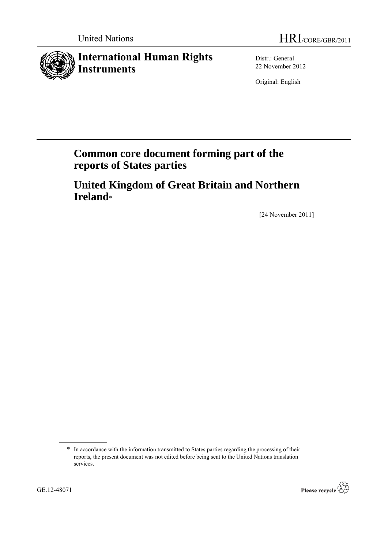# **International Human Rights Instruments**

Distr.: General 22 November 2012

Original: English

# **Common core document forming part of the reports of States parties**

**United Kingdom of Great Britain and Northern Ireland**\*

[24 November 2011]

<sup>\*</sup> In accordance with the information transmitted to States parties regarding the processing of their reports, the present document was not edited before being sent to the United Nations translation services.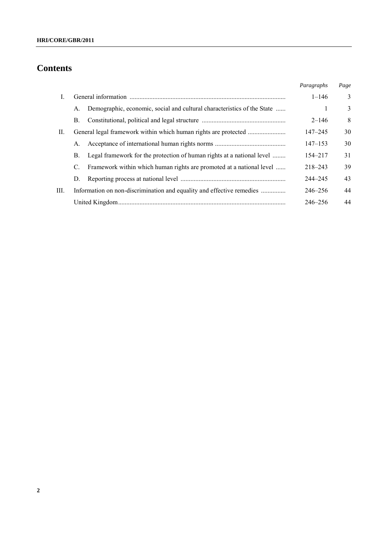# **Contents**

|      |    |                                                                         | Paragraphs  | Page |
|------|----|-------------------------------------------------------------------------|-------------|------|
| L    |    |                                                                         | $1 - 146$   | 3    |
|      | А. | Demographic, economic, social and cultural characteristics of the State |             | 3    |
|      | B. |                                                                         | $2 - 146$   | 8    |
| II.  |    |                                                                         | $147 - 245$ | 30   |
|      | А. |                                                                         | $147 - 153$ | 30   |
|      | В. | Legal framework for the protection of human rights at a national level  | 154–217     | 31   |
|      | C. | Framework within which human rights are promoted at a national level    | $218 - 243$ | 39   |
|      | D. |                                                                         | $244 - 245$ | 43   |
| III. |    | Information on non-discrimination and equality and effective remedies   | $246 - 256$ | 44   |
|      |    |                                                                         | 246–256     | 44   |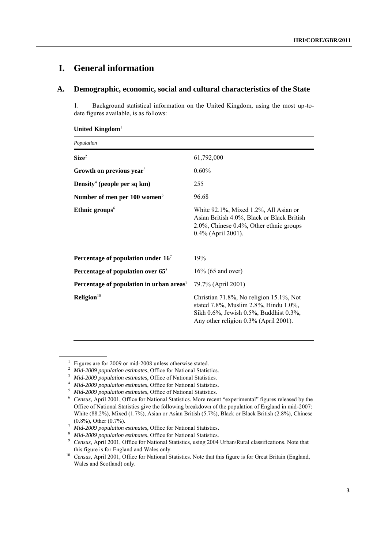## **I. General information**

## **A. Demographic, economic, social and cultural characteristics of the State**

1. Background statistical information on the United Kingdom, using the most up-todate figures available, is as follows:

| Population                                           |                                                                                                                                                                     |  |  |  |
|------------------------------------------------------|---------------------------------------------------------------------------------------------------------------------------------------------------------------------|--|--|--|
| Size <sup>2</sup>                                    | 61,792,000                                                                                                                                                          |  |  |  |
| Growth on previous year <sup>3</sup>                 | $0.60\%$                                                                                                                                                            |  |  |  |
| Density <sup>4</sup> (people per sq km)              | 255                                                                                                                                                                 |  |  |  |
| Number of men per 100 women <sup>5</sup>             | 96.68                                                                                                                                                               |  |  |  |
| Ethnic groups $6$                                    | White 92.1%, Mixed 1.2%, All Asian or<br>Asian British 4.0%, Black or Black British<br>$2.0\%$ , Chinese $0.4\%$ , Other ethnic groups<br>0.4% (April 2001).        |  |  |  |
| Percentage of population under $167$                 | 19%                                                                                                                                                                 |  |  |  |
| Percentage of population over $65^8$                 | $16\%$ (65 and over)                                                                                                                                                |  |  |  |
| Percentage of population in urban areas <sup>9</sup> | 79.7% (April 2001)                                                                                                                                                  |  |  |  |
| Religion <sup>10</sup>                               | Christian 71.8%, No religion 15.1%, Not<br>stated 7.8%, Muslim 2.8%, Hindu 1.0%,<br>Sikh 0.6%, Jewish 0.5%, Buddhist 0.3%,<br>Any other religion 0.3% (April 2001). |  |  |  |

## **United Kingdom**<sup>1</sup>

<sup>1</sup> Figures are for 2009 or mid-2008 unless otherwise stated.

<sup>&</sup>lt;sup>2</sup> *Mid-2009 population estimates*, Office for National Statistics.<br><sup>3</sup> *Mid-2009 population estimates* Office of National Statistics

<sup>3</sup> *Mid-2009 population estimates*, Office of National Statistics.

<sup>&</sup>lt;sup>4</sup> *Mid-2009 population estimates*, Office for National Statistics.<br><sup>5</sup> *Mid-2009 population estimates* Office of National Statistics.

<sup>5</sup> *Mid-2009 population estimates*, Office of National Statistics.

<sup>&</sup>lt;sup>6</sup> *Census*, April 2001, Office for National Statistics. More recent "experimental" figures released by the Office of National Statistics give the following breakdown of the population of England in mid-2007: White (88.2%), Mixed (1.7%), Asian or Asian British (5.7%), Black or Black British (2.8%), Chinese (0.8%), Other (0.7%).

<sup>7</sup> *Mid-2009 population estimates*, Office for National Statistics.

<sup>8</sup> *Mid-2009 population estimates*, Office for National Statistics.

<sup>&</sup>lt;sup>9</sup> *Census*, April 2001, Office for National Statistics, using 2004 Urban/Rural classifications. Note that this figure is for England and Wales only.

<sup>&</sup>lt;sup>10</sup> *Census*, April 2001, Office for National Statistics. Note that this figure is for Great Britain (England, Wales and Scotland) only.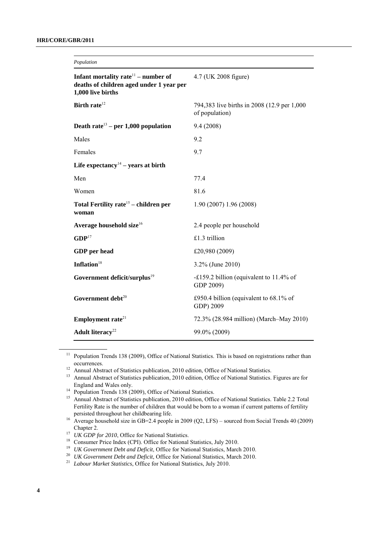| Population                                                                                              |                                                               |  |  |  |
|---------------------------------------------------------------------------------------------------------|---------------------------------------------------------------|--|--|--|
| Infant mortality rate $11$ – number of<br>deaths of children aged under 1 year per<br>1,000 live births | 4.7 (UK 2008 figure)                                          |  |  |  |
| Birth rate <sup>12</sup>                                                                                | 794,383 live births in 2008 (12.9 per 1,000<br>of population) |  |  |  |
| Death rate <sup>13</sup> – per 1,000 population                                                         | 9.4(2008)                                                     |  |  |  |
| Males                                                                                                   | 9.2                                                           |  |  |  |
| Females                                                                                                 | 9.7                                                           |  |  |  |
| Life expectancy <sup>14</sup> – years at birth                                                          |                                                               |  |  |  |
| Men                                                                                                     | 77.4                                                          |  |  |  |
| Women                                                                                                   | 81.6                                                          |  |  |  |
| Total Fertility rate <sup>15</sup> - children per<br>woman                                              | 1.90 (2007) 1.96 (2008)                                       |  |  |  |
| Average household size $16$                                                                             | 2.4 people per household                                      |  |  |  |
| GDP <sup>17</sup>                                                                                       | £1.3 trillion                                                 |  |  |  |
| GDP per head                                                                                            | £20,980 (2009)                                                |  |  |  |
| Inflation $18$                                                                                          | 3.2% (June 2010)                                              |  |  |  |
| Government deficit/surplus <sup>19</sup>                                                                | -£159.2 billion (equivalent to $11.4\%$ of<br>GDP 2009)       |  |  |  |
| Government debt <sup>20</sup>                                                                           | £950.4 billion (equivalent to $68.1\%$ of<br>GDP) 2009        |  |  |  |
| Employment rate <sup>21</sup>                                                                           | 72.3% (28.984 million) (March-May 2010)                       |  |  |  |
| Adult literacy <sup>22</sup>                                                                            | 99.0% (2009)                                                  |  |  |  |

<sup>11</sup> Population Trends 138 (2009), Office of National Statistics. This is based on registrations rather than occurrences.

<sup>&</sup>lt;sup>12</sup> Annual Abstract of Statistics publication, 2010 edition, Office of National Statistics.<br><sup>13</sup> Annual Abstract of Statistics publication, 2010 edition, Office of National Statistics.

Annual Abstract of Statistics publication, 2010 edition, Office of National Statistics. Figures are for England and Wales only.

<sup>&</sup>lt;sup>14</sup> Population Trends 138 (2009), Office of National Statistics.

<sup>&</sup>lt;sup>15</sup> Annual Abstract of Statistics publication, 2010 edition, Office of National Statistics. Table 2.2 Total Fertility Rate is the number of children that would be born to a woman if current patterns of fertility persisted throughout her childbearing life.

<sup>&</sup>lt;sup>16</sup> Average household size in GB=2.4 people in 2009 (Q2, LFS) – sourced from Social Trends 40 (2009) Chapter 2.

<sup>&</sup>lt;sup>17</sup> *UK GDP for 2010*, Office for National Statistics.

<sup>&</sup>lt;sup>18</sup> Consumer Price Index (CPI). Office for National Statistics, July 2010.

<sup>&</sup>lt;sup>19</sup> *UK Government Debt and Deficit*, Office for National Statistics, March 2010.

<sup>&</sup>lt;sup>20</sup> *UK Government Debt and Deficit*, Office for National Statistics, March 2010.

<sup>&</sup>lt;sup>21</sup> *Labour Market Statistics*, Office for National Statistics, July 2010.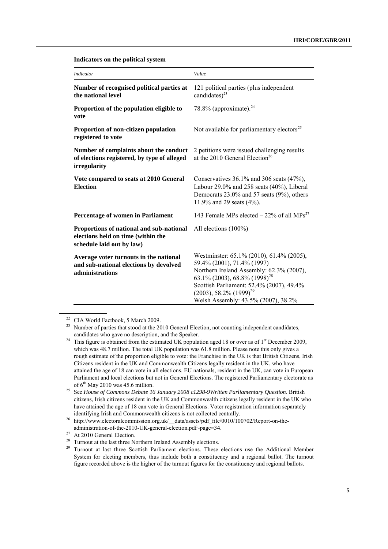| <b>Indicator</b>                                                                                            | Value                                                                                                                                                                                                                                                                               |
|-------------------------------------------------------------------------------------------------------------|-------------------------------------------------------------------------------------------------------------------------------------------------------------------------------------------------------------------------------------------------------------------------------------|
| Number of recognised political parties at<br>the national level                                             | 121 political parties (plus independent<br>candidates) <sup>23</sup>                                                                                                                                                                                                                |
| Proportion of the population eligible to<br>vote                                                            | 78.8% (approximate). $^{24}$                                                                                                                                                                                                                                                        |
| Proportion of non-citizen population<br>registered to vote                                                  | Not available for parliamentary electors <sup>25</sup>                                                                                                                                                                                                                              |
| Number of complaints about the conduct<br>of elections registered, by type of alleged<br>irregularity       | 2 petitions were issued challenging results<br>at the 2010 General Election <sup>26</sup>                                                                                                                                                                                           |
| Vote compared to seats at 2010 General<br><b>Election</b>                                                   | Conservatives $36.1\%$ and $306$ seats $(47\%)$ ,<br>Labour 29.0% and 258 seats (40%), Liberal<br>Democrats 23.0% and 57 seats (9%), others<br>11.9% and 29 seats $(4\%)$ .                                                                                                         |
| Percentage of women in Parliament                                                                           | 143 Female MPs elected $-22\%$ of all MPs <sup>27</sup>                                                                                                                                                                                                                             |
| Proportions of national and sub-national<br>elections held on time (within the<br>schedule laid out by law) | All elections $(100\%)$                                                                                                                                                                                                                                                             |
| Average voter turnouts in the national<br>and sub-national elections by devolved<br>administrations         | Westminster: 65.1% (2010), 61.4% (2005),<br>59.4% (2001), 71.4% (1997)<br>Northern Ireland Assembly: 62.3% (2007),<br>63.1% (2003), 68.8% (1998) <sup>28</sup><br>Scottish Parliament: 52.4% (2007), 49.4%<br>$(2003)$ , 58.2% $(1999)^{29}$<br>Welsh Assembly: 43.5% (2007), 38.2% |

**Indicators on the political system**

<sup>22</sup> CIA World Factbook, 5 March 2009.

<sup>&</sup>lt;sup>23</sup> Number of parties that stood at the 2010 General Election, not counting independent candidates, candidates who gave no description, and the Speaker.

<sup>&</sup>lt;sup>24</sup> This figure is obtained from the estimated UK population aged 18 or over as of 1<sup>st</sup> December 2009, which was 48.7 million. The total UK population was 61.8 million. Please note this only gives a rough estimate of the proportion eligible to vote: the Franchise in the UK is that British Citizens, Irish Citizens resident in the UK and Commonwealth Citizens legally resident in the UK, who have attained the age of 18 can vote in all elections. EU nationals, resident in the UK, can vote in European Parliament and local elections but not in General Elections. The registered Parliamentary electorate as of  $6^{th}$  May 2010 was 45.6 million.

<sup>25</sup> See *House of Commons Debate 16 January 2008 c1298-9Written Parliamentary Question*. British citizens, Irish citizens resident in the UK and Commonwealth citizens legally resident in the UK who have attained the age of 18 can vote in General Elections. Voter registration information separately identifying Irish and Commonwealth citizens is not collected centrally.

<sup>26</sup> http://www.electoralcommission.org.uk/\_\_data/assets/pdf\_file/0010/100702/Report-on-theadministration-of-the-2010-UK-general-election.pdf~page=34.

<sup>&</sup>lt;sup>27</sup> At 2010 General Election.

<sup>&</sup>lt;sup>28</sup> Turnout at the last three Northern Ireland Assembly elections.

Turnout at last three Scottish Parliament elections. These elections use the Additional Member System for electing members, thus include both a constituency and a regional ballot. The turnout figure recorded above is the higher of the turnout figures for the constituency and regional ballots.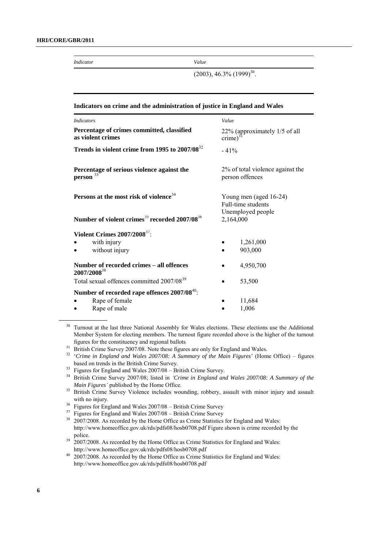*Indicator Value*

 $(2003)$ , 46.3%  $(1999)^{30}$ .

| Indicators on crime and the administration of justice in England and Wales |                                                                   |  |  |
|----------------------------------------------------------------------------|-------------------------------------------------------------------|--|--|
| <b>Indicators</b>                                                          | Value                                                             |  |  |
| Percentage of crimes committed, classified<br>as violent crimes            | 22% (approximately 1/5 of all<br>$\text{ crime}$ <sup>3</sup>     |  |  |
| Trends in violent crime from 1995 to 2007/08 <sup>32</sup>                 | $-41%$                                                            |  |  |
| Percentage of serious violence against the<br>person <sup>33</sup>         | 2% of total violence against the<br>person offences               |  |  |
| Persons at the most risk of violence <sup>34</sup>                         | Young men (aged 16-24)<br>Full-time students<br>Unemployed people |  |  |
| Number of violent crimes <sup>35</sup> recorded 2007/08 <sup>36</sup>      | 2,164,000                                                         |  |  |
| Violent Crimes 2007/2008 <sup>37</sup> :                                   |                                                                   |  |  |
| with injury                                                                | 1,261,000                                                         |  |  |
| without injury                                                             | 903,000                                                           |  |  |
| Number of recorded crimes - all offences<br>2007/2008 <sup>38</sup>        | 4,950,700                                                         |  |  |
| Total sexual offences committed 2007/08 <sup>39</sup>                      | 53,500                                                            |  |  |
| Number of recorded rape offences 2007/08 <sup>40</sup> :                   |                                                                   |  |  |
| Rape of female                                                             | 11,684                                                            |  |  |
| Rape of male                                                               | 1,006                                                             |  |  |

<sup>30</sup> Turnout at the last three National Assembly for Wales elections. These elections use the Additional Member System for electing members. The turnout figure recorded above is the higher of the turnout figures for the constituency and regional ballots

<sup>31</sup> British Crime Survey 2007/08. Note these figures are only for England and Wales.

<sup>32</sup> 'Crime in England and Wales 2007/08: A Summary of the Main Figures' (Home Office) – figures based on trends in the British Crime Survey.

<sup>33</sup> Figures for England and Wales 2007/08 – British Crime Survey.

<sup>34</sup> British Crime Survey 2007/08; listed in *'Crime in England and Wales 2007/08: A Summary of the Main Figures'* published by the Home Office.

<sup>35</sup> British Crime Survey Violence includes wounding, robbery, assault with minor injury and assault with no injury.

<sup>36</sup> Figures for England and Wales 2007/08 – British Crime Survey

 $37$  Figures for England and Wales 2007/08 – British Crime Survey

<sup>38</sup> 2007/2008. As recorded by the Home Office as Crime Statistics for England and Wales: http://www.homeoffice.gov.uk/rds/pdfs08/hosb0708.pdf Figure shown is crime recorded by the police.

 $39\text{ }2007/2008$ . As recorded by the Home Office as Crime Statistics for England and Wales: http://www.homeoffice.gov.uk/rds/pdfs08/hosb0708.pdf

<sup>40</sup> 2007/2008. As recorded by the Home Office as Crime Statistics for England and Wales: http://www.homeoffice.gov.uk/rds/pdfs08/hosb0708.pdf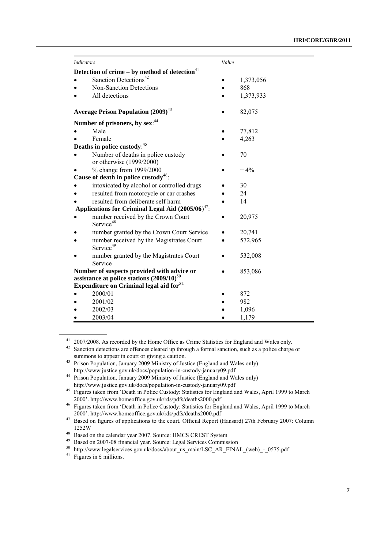| <i>Indicators</i>                                                                            |                                                                   | Value |           |
|----------------------------------------------------------------------------------------------|-------------------------------------------------------------------|-------|-----------|
|                                                                                              | Detection of crime – by method of detection $41$                  |       |           |
|                                                                                              | Sanction Detections <sup>42</sup>                                 |       | 1,373,056 |
|                                                                                              | Non-Sanction Detections                                           |       | 868       |
|                                                                                              | All detections                                                    |       | 1,373,933 |
|                                                                                              | <b>Average Prison Population (2009)</b> <sup>43</sup>             |       | 82,075    |
|                                                                                              | Number of prisoners, by sex: 44                                   |       |           |
|                                                                                              | Male                                                              |       | 77,812    |
|                                                                                              | Female                                                            |       | 4,263     |
|                                                                                              | Deaths in police custody: 45                                      |       |           |
|                                                                                              | Number of deaths in police custody<br>or otherwise (1999/2000)    |       | 70        |
|                                                                                              | % change from 1999/2000                                           |       | $+4%$     |
|                                                                                              | Cause of death in police custody <sup>46</sup> :                  |       |           |
|                                                                                              | intoxicated by alcohol or controlled drugs                        |       | 30        |
|                                                                                              | resulted from motorcycle or car crashes                           |       | 24        |
|                                                                                              | resulted from deliberate self harm                                |       | 14        |
| Applications for Criminal Legal Aid $(2005/06)^{47}$ .                                       |                                                                   |       |           |
|                                                                                              | number received by the Crown Court<br>Service <sup>48</sup>       |       | 20,975    |
|                                                                                              | number granted by the Crown Court Service                         |       | 20,741    |
|                                                                                              | number received by the Magistrates Court<br>Service <sup>49</sup> |       | 572,965   |
|                                                                                              | number granted by the Magistrates Court<br>Service                |       | 532,008   |
| Number of suspects provided with advice or<br>assistance at police stations $(2009/10)^{50}$ |                                                                   |       | 853,086   |
|                                                                                              | Expenditure on Criminal legal aid for <sup>51:</sup>              |       |           |
|                                                                                              | 2000/01                                                           |       | 872       |
|                                                                                              | 2001/02                                                           |       | 982       |
|                                                                                              | 2002/03                                                           |       | 1,096     |
|                                                                                              | 2003/04                                                           |       | 1,179     |

<sup>41</sup> 2007/2008. As recorded by the Home Office as Crime Statistics for England and Wales only.

<sup>&</sup>lt;sup>42</sup> Sanction detections are offences cleared up through a formal sanction, such as a police charge or summons to appear in court or giving a caution.

<sup>&</sup>lt;sup>43</sup> Prison Population, January 2009 Ministry of Justice (England and Wales only)

http://www.justice.gov.uk/docs/population-in-custody-january09.pdf

<sup>44</sup> Prison Population, January 2009 Ministry of Justice (England and Wales only) http://www.justice.gov.uk/docs/population-in-custody-january09.pdf

<sup>45</sup> Figures taken from ‗Death in Police Custody: Statistics for England and Wales, April 1999 to March 2000'. http://www.homeoffice.gov.uk/rds/pdfs/deaths2000.pdf

<sup>&</sup>lt;sup>46</sup> Figures taken from 'Death in Police Custody: Statistics for England and Wales, April 1999 to March 2000'. http://www.homeoffice.gov.uk/rds/pdfs/deaths2000.pdf

<sup>&</sup>lt;sup>47</sup> Based on figures of applications to the court. Official Report (Hansard) 27th February 2007: Column 1252W

<sup>48</sup> Based on the calendar year 2007. Source: HMCS CREST System

<sup>49</sup> Based on 2007-08 financial year. Source: Legal Services Commission

<sup>50</sup> http://www.legalservices.gov.uk/docs/about\_us\_main/LSC\_AR\_FINAL\_(web)\_-\_0575.pdf

 $51$  Figures in £ millions.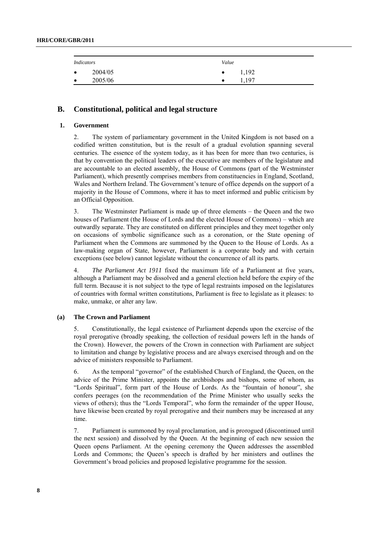| <i>Indicators</i> |         | Value     |       |
|-------------------|---------|-----------|-------|
| $\bullet$         | 2004/05 | $\bullet$ | 1,192 |
| $\bullet$         | 2005/06 |           | 1,197 |

## **B. Constitutional, political and legal structure**

## **1. Government**

2. The system of parliamentary government in the United Kingdom is not based on a codified written constitution, but is the result of a gradual evolution spanning several centuries. The essence of the system today, as it has been for more than two centuries, is that by convention the political leaders of the executive are members of the legislature and are accountable to an elected assembly, the House of Commons (part of the Westminster Parliament), which presently comprises members from constituencies in England, Scotland, Wales and Northern Ireland. The Government's tenure of office depends on the support of a majority in the House of Commons, where it has to meet informed and public criticism by an Official Opposition.

3. The Westminster Parliament is made up of three elements – the Queen and the two houses of Parliament (the House of Lords and the elected House of Commons) – which are outwardly separate. They are constituted on different principles and they meet together only on occasions of symbolic significance such as a coronation, or the State opening of Parliament when the Commons are summoned by the Queen to the House of Lords. As a law-making organ of State, however, Parliament is a corporate body and with certain exceptions (see below) cannot legislate without the concurrence of all its parts.

4. *The Parliament Act 1911* fixed the maximum life of a Parliament at five years, although a Parliament may be dissolved and a general election held before the expiry of the full term. Because it is not subject to the type of legal restraints imposed on the legislatures of countries with formal written constitutions, Parliament is free to legislate as it pleases: to make, unmake, or alter any law.

## **(a) The Crown and Parliament**

5. Constitutionally, the legal existence of Parliament depends upon the exercise of the royal prerogative (broadly speaking, the collection of residual powers left in the hands of the Crown). However, the powers of the Crown in connection with Parliament are subject to limitation and change by legislative process and are always exercised through and on the advice of ministers responsible to Parliament.

6. As the temporal "governor" of the established Church of England, the Queen, on the advice of the Prime Minister, appoints the archbishops and bishops, some of whom, as "Lords Spiritual", form part of the House of Lords. As the "fountain of honour", she confers peerages (on the recommendation of the Prime Minister who usually seeks the views of others); thus the "Lords Temporal", who form the remainder of the upper House, have likewise been created by royal prerogative and their numbers may be increased at any time.

7. Parliament is summoned by royal proclamation, and is prorogued (discontinued until the next session) and dissolved by the Queen. At the beginning of each new session the Queen opens Parliament. At the opening ceremony the Queen addresses the assembled Lords and Commons; the Queen's speech is drafted by her ministers and outlines the Government's broad policies and proposed legislative programme for the session.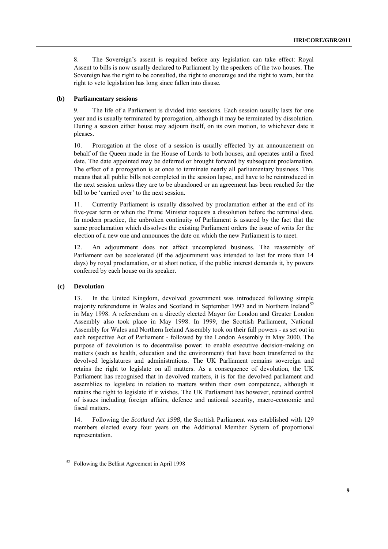8. The Sovereign's assent is required before any legislation can take effect: Royal Assent to bills is now usually declared to Parliament by the speakers of the two houses. The Sovereign has the right to be consulted, the right to encourage and the right to warn, but the right to veto legislation has long since fallen into disuse.

#### **(b) Parliamentary sessions**

9. The life of a Parliament is divided into sessions. Each session usually lasts for one year and is usually terminated by prorogation, although it may be terminated by dissolution. During a session either house may adjourn itself, on its own motion, to whichever date it pleases.

10. Prorogation at the close of a session is usually effected by an announcement on behalf of the Queen made in the House of Lords to both houses, and operates until a fixed date. The date appointed may be deferred or brought forward by subsequent proclamation. The effect of a prorogation is at once to terminate nearly all parliamentary business. This means that all public bills not completed in the session lapse, and have to be reintroduced in the next session unless they are to be abandoned or an agreement has been reached for the bill to be 'carried over' to the next session.

11. Currently Parliament is usually dissolved by proclamation either at the end of its five-year term or when the Prime Minister requests a dissolution before the terminal date. In modern practice, the unbroken continuity of Parliament is assured by the fact that the same proclamation which dissolves the existing Parliament orders the issue of writs for the election of a new one and announces the date on which the new Parliament is to meet.

12. An adjournment does not affect uncompleted business. The reassembly of Parliament can be accelerated (if the adjournment was intended to last for more than 14 days) by royal proclamation, or at short notice, if the public interest demands it, by powers conferred by each house on its speaker.

#### **(c) Devolution**

13. In the United Kingdom, devolved government was introduced following simple majority referendums in Wales and Scotland in September 1997 and in Northern Ireland<sup>52</sup> in May 1998. A referendum on a directly elected Mayor for London and Greater London Assembly also took place in May 1998. In 1999, the Scottish Parliament, National Assembly for Wales and Northern Ireland Assembly took on their full powers - as set out in each respective Act of Parliament - followed by the London Assembly in May 2000. The purpose of devolution is to decentralise power: to enable executive decision-making on matters (such as health, education and the environment) that have been transferred to the devolved legislatures and administrations. The UK Parliament remains sovereign and retains the right to legislate on all matters. As a consequence of devolution, the UK Parliament has recognised that in devolved matters, it is for the devolved parliament and assemblies to legislate in relation to matters within their own competence, although it retains the right to legislate if it wishes. The UK Parliament has however, retained control of issues including foreign affairs, defence and national security, macro-economic and fiscal matters.

14. Following the *Scotland Act 1998*, the Scottish Parliament was established with 129 members elected every four years on the Additional Member System of proportional representation.

<sup>52</sup> Following the Belfast Agreement in April 1998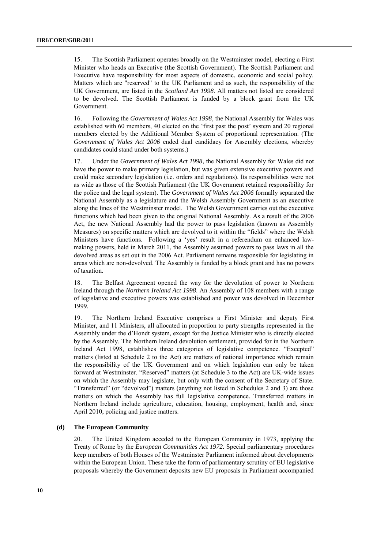15. The Scottish Parliament operates broadly on the Westminster model, electing a First Minister who heads an Executive (the Scottish Government). The Scottish Parliament and Executive have responsibility for most aspects of domestic, economic and social policy. Matters which are "reserved" to the UK Parliament and as such, the responsibility of the UK Government, are listed in the *Scotland Act 1998*. All matters not listed are considered to be devolved. The Scottish Parliament is funded by a block grant from the UK Government.

16. Following the *Government of Wales Act 1998*, the National Assembly for Wales was established with 60 members, 40 elected on the 'first past the post' system and 20 regional members elected by the Additional Member System of proportional representation. (The *Government of Wales Act 2006* ended dual candidacy for Assembly elections, whereby candidates could stand under both systems.)

17. Under the *Government of Wales Act 1998*, the National Assembly for Wales did not have the power to make primary legislation, but was given extensive executive powers and could make secondary legislation (i.e. orders and regulations). Its responsibilities were not as wide as those of the Scottish Parliament (the UK Government retained responsibility for the police and the legal system). The *Government of Wales Act 2006* formally separated the National Assembly as a legislature and the Welsh Assembly Government as an executive along the lines of the Westminster model. The Welsh Government carries out the executive functions which had been given to the original National Assembly. As a result of the 2006 Act, the new National Assembly had the power to pass legislation (known as Assembly Measures) on specific matters which are devolved to it within the "fields" where the Welsh Ministers have functions. Following a 'yes' result in a referendum on enhanced lawmaking powers, held in March 2011, the Assembly assumed powers to pass laws in all the devolved areas as set out in the 2006 Act. Parliament remains responsible for legislating in areas which are non-devolved. The Assembly is funded by a block grant and has no powers of taxation.

18. The Belfast Agreement opened the way for the devolution of power to Northern Ireland through the *Northern Ireland Act 1998*. An Assembly of 108 members with a range of legislative and executive powers was established and power was devolved in December 1999.

19. The Northern Ireland Executive comprises a First Minister and deputy First Minister, and 11 Ministers, all allocated in proportion to party strengths represented in the Assembly under the d'Hondt system, except for the Justice Minister who is directly elected by the Assembly. The [Northern Ireland devolution settlement, provided for in the Northern](http://www.opsi.gov.uk/acts/acts2006/20060017.htm)  [Ireland Act 1998, establishes three categories o](http://www.opsi.gov.uk/acts/acts2006/20060017.htm)f legislative competence. "Excepted" [matters \(listed at Schedule 2 to the Act\) are matters of national importance which remain](http://www.opsi.gov.uk/acts/acts2006/20060017.htm)  [the responsibility of the UK Government and on which legislation can only be taken](http://www.opsi.gov.uk/acts/acts2006/20060017.htm)  forward at Westminster. "Reserved" matters (at Schedule 3 to the Act) are UK-wide issues [on which the Assembly may legislate, but only with the consent of the Secretary of State.](http://www.opsi.gov.uk/acts/acts2006/20060017.htm)  "Transferred" (or "devolved") matters (anything not listed in Schedules 2 and 3) are those [matters on which the Assembly has full legislative competence. Transferred matters in](http://www.opsi.gov.uk/acts/acts2006/20060017.htm)  [Northern Ireland include agriculture, education, housing, employment, health and, since](http://www.opsi.gov.uk/acts/acts2006/20060017.htm)  [April 2010, policing and justice matters.](http://www.opsi.gov.uk/acts/acts2006/20060017.htm) 

#### **(d) The European Community**

20. The United Kingdom acceded to the European Community in 1973, applying the Treaty of Rome by the *European Communities Act 1972.* Special parliamentary procedures keep members of both Houses of the Westminster Parliament informed about developments within the European Union. These take the form of parliamentary scrutiny of EU legislative proposals whereby the Government deposits new EU proposals in Parliament accompanied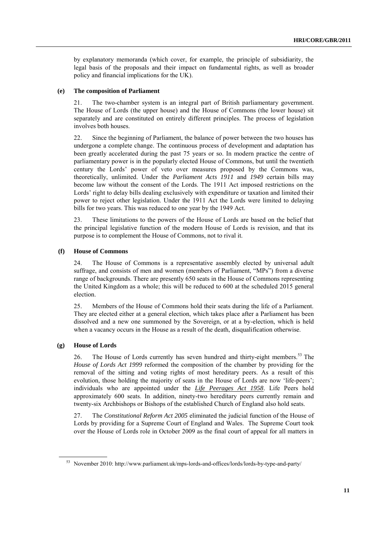by explanatory memoranda (which cover, for example, the principle of subsidiarity, the legal basis of the proposals and their impact on fundamental rights, as well as broader policy and financial implications for the UK).

#### **(e) The composition of Parliament**

21. The two-chamber system is an integral part of British parliamentary government. The House of Lords (the upper house) and the House of Commons (the lower house) sit separately and are constituted on entirely different principles. The process of legislation involves both houses.

22. Since the beginning of Parliament, the balance of power between the two houses has undergone a complete change. The continuous process of development and adaptation has been greatly accelerated during the past 75 years or so. In modern practice the centre of parliamentary power is in the popularly elected House of Commons, but until the twentieth century the Lords' power of veto over measures proposed by the Commons was, theoretically, unlimited. Under the *Parliament Acts 1911* and *1949* certain bills may become law without the consent of the Lords. The 1911 Act imposed restrictions on the Lords' right to delay bills dealing exclusively with expenditure or taxation and limited their power to reject other legislation. Under the 1911 Act the Lords were limited to delaying bills for two years. This was reduced to one year by the 1949 Act.

23. These limitations to the powers of the House of Lords are based on the belief that the principal legislative function of the modern House of Lords is revision, and that its purpose is to complement the House of Commons, not to rival it.

#### **(f) House of Commons**

24. The House of Commons is a representative assembly elected by universal adult suffrage, and consists of men and women (members of Parliament, "MPs") from a diverse range of backgrounds. There are presently 650 seats in the House of Commons representing the United Kingdom as a whole; this will be reduced to 600 at the scheduled 2015 general election.

25. Members of the House of Commons hold their seats during the life of a Parliament. They are elected either at a general election, which takes place after a Parliament has been dissolved and a new one summoned by the Sovereign, or at a by-election, which is held when a vacancy occurs in the House as a result of the death, disqualification otherwise.

#### **(g) House of Lords**

26. The House of Lords currently has seven hundred and thirty-eight members.<sup>53</sup> The *House of Lords Act 1999* reformed the composition of the chamber by providing for the removal of the sitting and voting rights of most hereditary peers. As a result of this evolution, those holding the majority of seats in the House of Lords are now 'life-peers'; individuals who are appointed under the *[Life Peerages Act 1958](file:///C:/Users/Rosniansky/AppData/wiki/Life_Peerages_Act_1958)*. Life Peers hold approximately 600 seats. In addition, ninety-two hereditary peers currently remain and twenty-six Archbishops or Bishops of the established Church of England also hold seats.

27. The *Constitutional Reform Act 2005* eliminated the judicial function of the House of Lords by providing for a Supreme Court of England and Wales. The Supreme Court took over the House of Lords role in October 2009 as the final court of appeal for all matters in

<sup>53</sup> November 2010: http://www.parliament.uk/mps-lords-and-offices/lords/lords-by-type-and-party/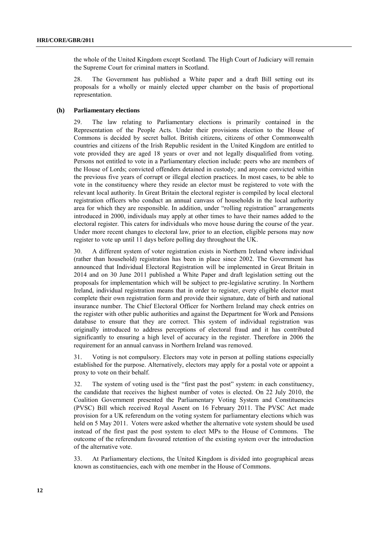the whole of the United Kingdom except Scotland. The High Court of Judiciary will remain the Supreme Court for criminal matters in Scotland.

28. The Government has published a White paper and a draft Bill setting out its proposals for a wholly or mainly elected upper chamber on the basis of proportional representation.

## **(h) Parliamentary elections**

29. The law relating to Parliamentary elections is primarily contained in the Representation of the People Acts. Under their provisions election to the House of Commons is decided by secret ballot. British citizens, citizens of other Commonwealth countries and citizens of the Irish Republic resident in the United Kingdom are entitled to vote provided they are aged 18 years or over and not legally disqualified from voting. Persons not entitled to vote in a Parliamentary election include: peers who are members of the House of Lords; convicted offenders detained in custody; and anyone convicted within the previous five years of corrupt or illegal election practices. In most cases, to be able to vote in the constituency where they reside an elector must be registered to vote with the relevant local authority. In Great Britain the electoral register is compiled by local electoral registration officers who conduct an annual canvass of households in the local authority area for which they are responsible. In addition, under "rolling registration" arrangements introduced in 2000, individuals may apply at other times to have their names added to the electoral register. This caters for individuals who move house during the course of the year. Under more recent changes to electoral law, prior to an election, eligible persons may now register to vote up until 11 days before polling day throughout the UK.

30. A different system of voter registration exists in Northern Ireland where individual (rather than household) registration has been in place since 2002. The Government has announced that Individual Electoral Registration will be implemented in Great Britain in 2014 and on 30 June 2011 published a White Paper and draft legislation setting out the proposals for implementation which will be subject to pre-legislative scrutiny. In Northern Ireland, individual registration means that in order to register, every eligible elector must complete their own registration form and provide their signature, date of birth and national insurance number. The Chief Electoral Officer for Northern Ireland may check entries on the register with other public authorities and against the Department for Work and Pensions database to ensure that they are correct. This system of individual registration was originally introduced to address perceptions of electoral fraud and it has contributed significantly to ensuring a high level of accuracy in the register. Therefore in 2006 the requirement for an annual canvass in Northern Ireland was removed.

31. Voting is not compulsory. Electors may vote in person at polling stations especially established for the purpose. Alternatively, electors may apply for a postal vote or appoint a proxy to vote on their behalf.

32. The system of voting used is the "first past the post" system: in each constituency, the candidate that receives the highest number of votes is elected. On 22 July 2010, the Coalition Government presented the Parliamentary Voting System and Constituencies (PVSC) Bill which received Royal Assent on 16 February 2011. The PVSC Act made provision for a UK referendum on the voting system for parliamentary elections which was held on 5 May 2011. Voters were asked whether the alternative vote system should be used instead of the first past the post system to elect MPs to the House of Commons. The outcome of the referendum favoured retention of the existing system over the introduction of the alternative vote.

33. At Parliamentary elections, the United Kingdom is divided into geographical areas known as constituencies, each with one member in the House of Commons.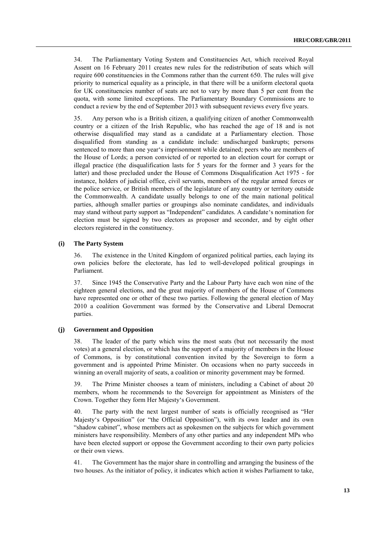34. The Parliamentary Voting System and Constituencies Act, which received Royal Assent on 16 February 2011 creates new rules for the redistribution of seats which will require 600 constituencies in the Commons rather than the current 650. The rules will give priority to numerical equality as a principle, in that there will be a uniform electoral quota for UK constituencies number of seats are not to vary by more than 5 per cent from the quota, with some limited exceptions. The Parliamentary Boundary Commissions are to conduct a review by the end of September 2013 with subsequent reviews every five years.

35. Any person who is a British citizen, a qualifying citizen of another Commonwealth country or a citizen of the Irish Republic, who has reached the age of 18 and is not otherwise disqualified may stand as a candidate at a Parliamentary election. Those disqualified from standing as a candidate include: undischarged bankrupts; persons sentenced to more than one year's imprisonment while detained; peers who are members of the House of Lords; a person convicted of or reported to an election court for corrupt or illegal practice (the disqualification lasts for 5 years for the former and 3 years for the latter) and those precluded under the House of Commons Disqualification Act 1975 - for instance, holders of judicial office, civil servants, members of the regular armed forces or the police service, or British members of the legislature of any country or territory outside the Commonwealth. A candidate usually belongs to one of the main national political parties, although smaller parties or groupings also nominate candidates, and individuals may stand without party support as "Independent" candidates. A candidate's nomination for election must be signed by two electors as proposer and seconder, and by eight other electors registered in the constituency.

#### **(i) The Party System**

36. The existence in the United Kingdom of organized political parties, each laying its own policies before the electorate, has led to well-developed political groupings in Parliament.

37. Since 1945 the Conservative Party and the Labour Party have each won nine of the eighteen general elections, and the great majority of members of the House of Commons have represented one or other of these two parties. Following the general election of May 2010 a coalition Government was formed by the Conservative and Liberal Democrat parties.

#### **(j) Government and Opposition**

38. The leader of the party which wins the most seats (but not necessarily the most votes) at a general election, or which has the support of a majority of members in the House of Commons, is by constitutional convention invited by the Sovereign to form a government and is appointed Prime Minister. On occasions when no party succeeds in winning an overall majority of seats, a coalition or minority government may be formed.

39. The Prime Minister chooses a team of ministers, including a Cabinet of about 20 members, whom he recommends to the Sovereign for appointment as Ministers of the Crown. Together they form Her Majesty's Government.

40. The party with the next largest number of seats is officially recognised as "Her Majesty's Opposition" (or "the Official Opposition"), with its own leader and its own "shadow cabinet", whose members act as spokesmen on the subjects for which government ministers have responsibility. Members of any other parties and any independent MPs who have been elected support or oppose the Government according to their own party policies or their own views.

41. The Government has the major share in controlling and arranging the business of the two houses. As the initiator of policy, it indicates which action it wishes Parliament to take,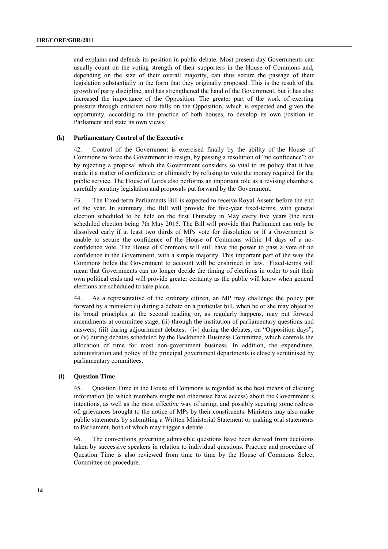and explains and defends its position in public debate. Most present-day Governments can usually count on the voting strength of their supporters in the House of Commons and, depending on the size of their overall majority, can thus secure the passage of their legislation substantially in the form that they originally proposed. This is the result of the growth of party discipline, and has strengthened the hand of the Government, but it has also increased the importance of the Opposition. The greater part of the work of exerting pressure through criticism now falls on the Opposition, which is expected and given the opportunity, according to the practice of both houses, to develop its own position in Parliament and state its own views.

#### **(k) Parliamentary Control of the Executive**

42. Control of the Government is exercised finally by the ability of the House of Commons to force the Government to resign, by passing a resolution of "no confidence"; or by rejecting a proposal which the Government considers so vital to its policy that it has made it a matter of confidence; or ultimately by refusing to vote the money required for the public service. The House of Lords also performs an important role as a revising chambers, carefully scrutiny legislation and proposals put forward by the Government.

43. The Fixed-term Parliaments Bill is expected to receive Royal Assent before the end of the year. In summary, the Bill will provide for five-year fixed-terms, with general election scheduled to be held on the first Thursday in May every five years (the next scheduled election being 7th May 2015. The Bill will provide that Parliament can only be dissolved early if at least two thirds of MPs vote for dissolution or if a Government is unable to secure the confidence of the House of Commons within 14 days of a noconfidence vote. The House of Commons will still have the power to pass a vote of no confidence in the Government, with a simple majority. This important part of the way the Commons holds the Government to account will be enshrined in law. Fixed-terms will mean that Governments can no longer decide the timing of elections in order to suit their own political ends and will provide greater certainty as the public will know when general elections are scheduled to take place.

44. As a representative of the ordinary citizen, an MP may challenge the policy put forward by a minister: (i) during a debate on a particular bill, when he or she may object to its broad principles at the second reading or, as regularly happens, may put forward amendments at committee stage; (ii) through the institution of parliamentary questions and answers; (iii) during adjournment debates; (iv) during the debates, on "Opposition days"; or (v) during debates scheduled by the Backbench Business Committee, which controls the allocation of time for most non-government business. In addition, the expenditure, administration and policy of the principal government departments is closely scrutinised by parliamentary committees.

#### **(l) Question Time**

45. Question Time in the House of Commons is regarded as the best means of eliciting information (to which members might not otherwise have access) about the Government's intentions, as well as the most effective way of airing, and possibly securing some redress of, grievances brought to the notice of MPs by their constituents. Ministers may also make public statements by submitting a Written Ministerial Statement or making oral statements to Parliament, both of which may trigger a debate.

46. The conventions governing admissible questions have been derived from decisions taken by successive speakers in relation to individual questions. Practice and procedure of Question Time is also reviewed from time to time by the House of Commons Select Committee on procedure.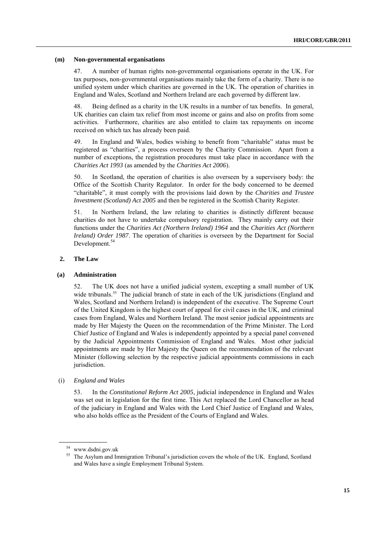#### **(m) Non-governmental organisations**

47. A number of human rights non-governmental organisations operate in the UK. For tax purposes, non-governmental organisations mainly take the form of a charity. There is no unified system under which charities are governed in the UK. The operation of charities in England and Wales, Scotland and Northern Ireland are each governed by different law.

48. Being defined as a charity in the UK results in a number of tax benefits. In general, UK charities can claim tax relief from most income or gains and also on profits from some activities. Furthermore, charities are also entitled to claim tax repayments on income received on which tax has already been paid.

49. In England and Wales, bodies wishing to benefit from "charitable" status must be registered as "charities", a process overseen by the Charity Commission. Apart from a number of exceptions, the registration procedures must take place in accordance with the *Charities Act 1993* (as amended by the *Charities Act 2006*).

50. In Scotland, the operation of charities is also overseen by a supervisory body: the Office of the Scottish Charity Regulator. In order for the body concerned to be deemed ―charitable‖, it must comply with the provisions laid down by the *Charities and Trustee Investment (Scotland) Act 2005* and then be registered in the Scottish Charity Register.

51. In Northern Ireland, the law relating to charities is distinctly different because charities do not have to undertake compulsory registration. They mainly carry out their functions under the *Charities Act (Northern Ireland) 1964* and the *Charities Act (Northern Ireland) Order 1987*. The operation of charities is overseen by the Department for Social Development.<sup>54</sup>

#### **2. The Law**

#### **(a) Administration**

52. The UK does not have a unified judicial system, excepting a small number of UK wide tribunals.<sup>55</sup> The judicial branch of state in each of the UK jurisdictions (England and Wales, Scotland and Northern Ireland) is independent of the executive. The Supreme Court of the United Kingdom is the highest court of appeal for civil cases in the UK, and criminal cases from England, Wales and Northern Ireland. The most senior judicial appointments are made by Her Majesty the Queen on the recommendation of the Prime Minister. The Lord Chief Justice of England and Wales is independently appointed by a special panel convened by the Judicial Appointments Commission of England and Wales. Most other judicial appointments are made by Her Majesty the Queen on the recommendation of the relevant Minister (following selection by the respective judicial appointments commissions in each jurisdiction.

#### (i) *England and Wales*

53. In the *Constitutional Reform Act 2005*, judicial independence in England and Wales was set out in legislation for the first time. This Act replaced the Lord Chancellor as head of the judiciary in England and Wales with the Lord Chief Justice of England and Wales, who also holds office as the President of the Courts of England and Wales.

<sup>54</sup> www.dsdni.gov.uk

<sup>&</sup>lt;sup>55</sup> The Asylum and Immigration Tribunal's jurisdiction covers the whole of the UK. England, Scotland and Wales have a single Employment Tribunal System.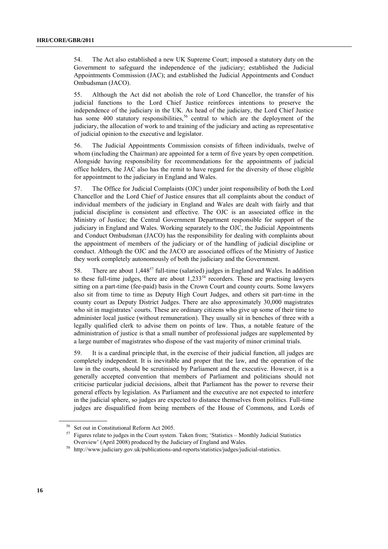54. The Act also established a new UK Supreme Court; imposed a statutory duty on the Government to safeguard the independence of the judiciary; established the Judicial Appointments Commission (JAC); and established the Judicial Appointments and Conduct Ombudsman (JACO).

55. Although the Act did not abolish the role of Lord Chancellor, the transfer of his judicial functions to the Lord Chief Justice reinforces intentions to preserve the independence of the judiciary in the UK. As head of the judiciary, the Lord Chief Justice has some 400 statutory responsibilities,<sup>56</sup> central to which are the deployment of the judiciary, the allocation of work to and training of the judiciary and acting as representative of judicial opinion to the executive and legislator.

56. The Judicial Appointments Commission consists of fifteen individuals, twelve of whom (including the Chairman) are appointed for a term of five years by open competition. Alongside having responsibility for recommendations for the appointments of judicial office holders, the JAC also has the remit to have regard for the diversity of those eligible for appointment to the judiciary in England and Wales.

57. The Office for Judicial Complaints (OJC) under joint responsibility of both the Lord Chancellor and the Lord Chief of Justice ensures that all complaints about the conduct of individual members of the judiciary in England and Wales are dealt with fairly and that judicial discipline is consistent and effective. The OJC is an associated office in the Ministry of Justice; the Central Government Department responsible for support of the judiciary in England and Wales. Working separately to the OJC, the Judicial Appointments and Conduct Ombudsman (JACO) has the responsibility for dealing with complaints about the appointment of members of the judiciary or of the handling of judicial discipline or conduct. Although the OJC and the JACO are associated offices of the Ministry of Justice they work completely autonomously of both the judiciary and the Government.

58. There are about 1,448<sup>57</sup> full-time (salaried) judges in England and Wales. In addition to these full-time judges, there are about  $1,233^{58}$  recorders. These are practising lawyers sitting on a part-time (fee-paid) basis in the Crown Court and county courts. Some lawyers also sit from time to time as Deputy High Court Judges, and others sit part-time in the county court as Deputy District Judges. There are also approximately 30,000 magistrates who sit in magistrates' courts. These are ordinary citizens who give up some of their time to administer local justice (without remuneration). They usually sit in benches of three with a legally qualified clerk to advise them on points of law. Thus, a notable feature of the administration of justice is that a small number of professional judges are supplemented by a large number of magistrates who dispose of the vast majority of minor criminal trials.

59. It is a cardinal principle that, in the exercise of their judicial function, all judges are completely independent. It is inevitable and proper that the law, and the operation of the law in the courts, should be scrutinised by Parliament and the executive. However, it is a generally accepted convention that members of Parliament and politicians should not criticise particular judicial decisions, albeit that Parliament has the power to reverse their general effects by legislation. As Parliament and the executive are not expected to interfere in the judicial sphere, so judges are expected to distance themselves from politics. Full-time judges are disqualified from being members of the House of Commons, and Lords of

Set out in Constitutional Reform Act 2005.

<sup>&</sup>lt;sup>57</sup> Figures relate to judges in the Court system. Taken from; 'Statistics – Monthly Judicial Statistics Overview' (April 2008) produced by the Judiciary of England and Wales.

<sup>58</sup> http://www.judiciary.gov.uk/publications-and-reports/statistics/judges/judicial-statistics.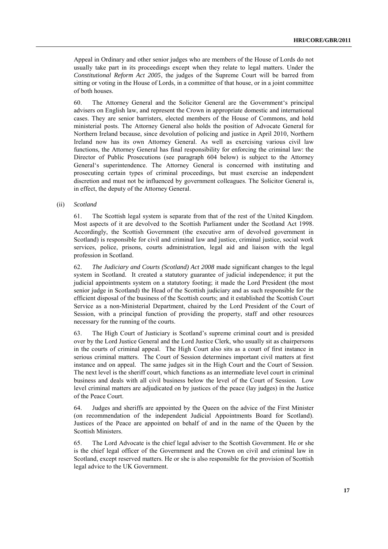Appeal in Ordinary and other senior judges who are members of the House of Lords do not usually take part in its proceedings except when they relate to legal matters. Under the *Constitutional Reform Act 2005*, the judges of the Supreme Court will be barred from sitting or voting in the House of Lords, in a committee of that house, or in a joint committee of both houses.

60. The Attorney General and the Solicitor General are the Government's principal advisers on English law, and represent the Crown in appropriate domestic and international cases. They are senior barristers, elected members of the House of Commons, and hold ministerial posts. The Attorney General also holds the position of Advocate General for Northern Ireland because, since devolution of policing and justice in April 2010, Northern Ireland now has its own Attorney General. As well as exercising various civil law functions, the Attorney General has final responsibility for enforcing the criminal law: the Director of Public Prosecutions (see paragraph 604 below) is subject to the Attorney General's superintendence. The Attorney General is concerned with instituting and prosecuting certain types of criminal proceedings, but must exercise an independent discretion and must not be influenced by government colleagues. The Solicitor General is, in effect, the deputy of the Attorney General.

(ii) *Scotland*

61. The Scottish legal system is separate from that of the rest of the United Kingdom. Most aspects of it are devolved to the Scottish Parliament under the Scotland Act 1998. Accordingly, the Scottish Government (the executive arm of devolved government in Scotland) is responsible for civil and criminal law and justice, criminal justice, social work services, police, prisons, courts administration, legal aid and liaison with the legal profession in Scotland.

62. *The Judiciary and Courts (Scotland) Act 2008* made significant changes to the legal system in Scotland. It created a statutory guarantee of judicial independence; it put the judicial appointments system on a statutory footing; it made the Lord President (the most senior judge in Scotland) the Head of the Scottish judiciary and as such responsible for the efficient disposal of the business of the Scottish courts; and it established the Scottish Court Service as a non-Ministerial Department, chaired by the Lord President of the Court of Session, with a principal function of providing the property, staff and other resources necessary for the running of the courts.

63. The High Court of Justiciary is Scotland's supreme criminal court and is presided over by the Lord Justice General and the Lord Justice Clerk, who usually sit as chairpersons in the courts of criminal appeal. The High Court also sits as a court of first instance in serious criminal matters. The Court of Session determines important civil matters at first instance and on appeal. The same judges sit in the High Court and the Court of Session. The next level is the sheriff court, which functions as an intermediate level court in criminal business and deals with all civil business below the level of the Court of Session. Low level criminal matters are adjudicated on by justices of the peace (lay judges) in the Justice of the Peace Court.

64. Judges and sheriffs are appointed by the Queen on the advice of the First Minister (on recommendation of the independent Judicial Appointments Board for Scotland). Justices of the Peace are appointed on behalf of and in the name of the Queen by the Scottish Ministers.

65. The Lord Advocate is the chief legal adviser to the Scottish Government. He or she is the chief legal officer of the Government and the Crown on civil and criminal law in Scotland, except reserved matters. He or she is also responsible for the provision of Scottish legal advice to the UK Government.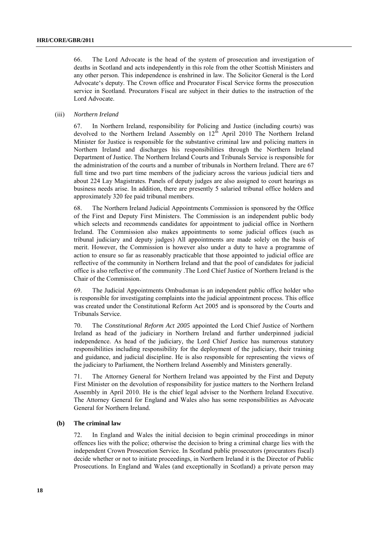66. The Lord Advocate is the head of the system of prosecution and investigation of deaths in Scotland and acts independently in this role from the other Scottish Ministers and any other person. This independence is enshrined in law. The Solicitor General is the Lord Advocate's deputy. The Crown office and Procurator Fiscal Service forms the prosecution service in Scotland. Procurators Fiscal are subject in their duties to the instruction of the Lord Advocate.

#### (iii) *Northern Ireland*

67. In Northern Ireland, responsibility for Policing and Justice (including courts) was devolved to the Northern Ireland Assembly on  $12<sup>th</sup>$  April 2010 The Northern Ireland Minister for Justice is responsible for the substantive criminal law and policing matters in Northern Ireland and discharges his responsibilities through the Northern Ireland Department of Justice. The Northern Ireland Courts and Tribunals Service is responsible for the administration of the courts and a number of tribunals in Northern Ireland. There are 67 full time and two part time members of the judiciary across the various judicial tiers and about 224 Lay Magistrates. Panels of deputy judges are also assigned to court hearings as business needs arise. In addition, there are presently 5 salaried tribunal office holders and approximately 320 fee paid tribunal members.

68. The Northern Ireland Judicial Appointments Commission is sponsored by the Office of the First and Deputy First Ministers. The Commission is an independent public body which selects and recommends candidates for appointment to judicial office in Northern Ireland. The Commission also makes appointments to some judicial offices (such as tribunal judiciary and deputy judges) All appointments are made solely on the basis of merit. However, the Commission is however also under a duty to have a programme of action to ensure so far as reasonably practicable that those appointed to judicial office are reflective of the community in Northern Ireland and that the pool of candidates for judicial office is also reflective of the community .The Lord Chief Justice of Northern Ireland is the Chair of the Commission.

69. The Judicial Appointments Ombudsman is an independent public office holder who is responsible for investigating complaints into the judicial appointment process. This office was created under the Constitutional Reform Act 2005 and is sponsored by the Courts and Tribunals Service.

70. The *Constitutional Reform Act 2005* appointed the Lord Chief Justice of Northern Ireland as head of the judiciary in Northern Ireland and further underpinned judicial independence. As head of the judiciary, the Lord Chief Justice has numerous statutory responsibilities including responsibility for the deployment of the judiciary, their training and guidance, and judicial discipline. He is also responsible for representing the views of the judiciary to Parliament, the Northern Ireland Assembly and Ministers generally.

71. The Attorney General for Northern Ireland was appointed by the First and Deputy First Minister on the devolution of responsibility for justice matters to the Northern Ireland Assembly in April 2010. He is the chief legal adviser to the Northern Ireland Executive. The Attorney General for England and Wales also has some responsibilities as Advocate General for Northern Ireland.

### **(b) The criminal law**

72. In England and Wales the initial decision to begin criminal proceedings in minor offences lies with the police; otherwise the decision to bring a criminal charge lies with the independent Crown Prosecution Service. In Scotland public prosecutors (procurators fiscal) decide whether or not to initiate proceedings, in Northern Ireland it is the Director of Public Prosecutions. In England and Wales (and exceptionally in Scotland) a private person may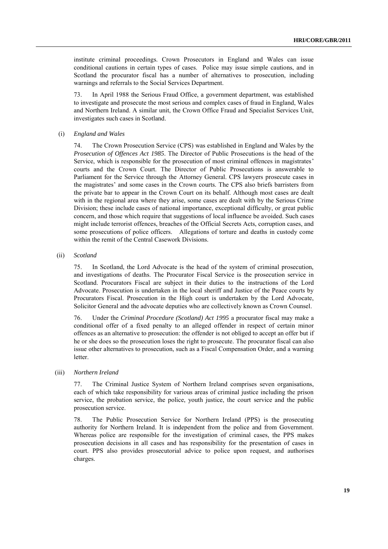institute criminal proceedings. Crown Prosecutors in England and Wales can issue conditional cautions in certain types of cases. Police may issue simple cautions, and in Scotland the procurator fiscal has a number of alternatives to prosecution, including warnings and referrals to the Social Services Department.

73. In April 1988 the Serious Fraud Office, a government department, was established to investigate and prosecute the most serious and complex cases of fraud in England, Wales and Northern Ireland. A similar unit, the Crown Office Fraud and Specialist Services Unit, investigates such cases in Scotland.

#### (i) *England and Wales*

74. The Crown Prosecution Service (CPS) was established in England and Wales by the *Prosecution of Offences Act 1985*. The Director of Public Prosecutions is the head of the Service, which is responsible for the prosecution of most criminal offences in magistrates' courts and the Crown Court. The Director of Public Prosecutions is answerable to Parliament for the Service through the Attorney General. CPS lawyers prosecute cases in the magistrates' and some cases in the Crown courts. The CPS also briefs barristers from the private bar to appear in the Crown Court on its behalf. Although most cases are dealt with in the regional area where they arise, some cases are dealt with by the Serious Crime Division; these include cases of national importance, exceptional difficulty, or great public concern, and those which require that suggestions of local influence be avoided. Such cases might include terrorist offences, breaches of the Official Secrets Acts, corruption cases, and some prosecutions of police officers. Allegations of torture and deaths in custody come within the remit of the Central Casework Divisions.

(ii) *Scotland*

75. In Scotland, the Lord Advocate is the head of the system of criminal prosecution, and investigations of deaths. The Procurator Fiscal Service is the prosecution service in Scotland. Procurators Fiscal are subject in their duties to the instructions of the Lord Advocate. Prosecution is undertaken in the local sheriff and Justice of the Peace courts by Procurators Fiscal. Prosecution in the High court is undertaken by the Lord Advocate, Solicitor General and the advocate deputies who are collectively known as Crown Counsel.

76. Under the *Criminal Procedure (Scotland) Act 1995* a procurator fiscal may make a conditional offer of a fixed penalty to an alleged offender in respect of certain minor offences as an alternative to prosecution: the offender is not obliged to accept an offer but if he or she does so the prosecution loses the right to prosecute. The procurator fiscal can also issue other alternatives to prosecution, such as a Fiscal Compensation Order, and a warning letter.

(iii) *Northern Ireland*

77. The Criminal Justice System of Northern Ireland comprises seven organisations, each of which take responsibility for various areas of criminal justice including the prison service, the probation service, the police, youth justice, the court service and the public prosecution service.

78. The Public Prosecution Service for Northern Ireland (PPS) is the prosecuting authority for Northern Ireland. It is independent from the police and from Government. Whereas police are responsible for the investigation of criminal cases, the PPS makes prosecution decisions in all cases and has responsibility for the presentation of cases in court. PPS also provides prosecutorial advice to police upon request, and authorises charges.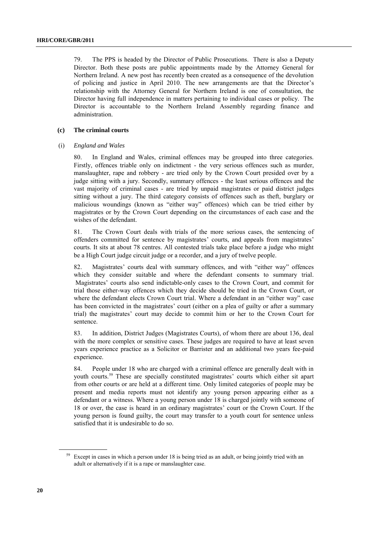79. The PPS is headed by the Director of Public Prosecutions. There is also a Deputy Director. Both these posts are public appointments made by the Attorney General for Northern Ireland. A new post has recently been created as a consequence of the devolution of policing and justice in April 2010. The new arrangements are that the Director's relationship with the Attorney General for Northern Ireland is one of consultation, the Director having full independence in matters pertaining to individual cases or policy. The Director is accountable to the Northern Ireland Assembly regarding finance and administration.

## **(c) The criminal courts**

## (i) *England and Wales*

80. In England and Wales, criminal offences may be grouped into three categories. Firstly, offences triable only on indictment - the very serious offences such as murder, manslaughter, rape and robbery - are tried only by the Crown Court presided over by a judge sitting with a jury. Secondly, summary offences - the least serious offences and the vast majority of criminal cases - are tried by unpaid magistrates or paid district judges sitting without a jury. The third category consists of offences such as theft, burglary or malicious woundings (known as "either way" offences) which can be tried either by magistrates or by the Crown Court depending on the circumstances of each case and the wishes of the defendant.

81. The Crown Court deals with trials of the more serious cases, the sentencing of offenders committed for sentence by magistrates' courts, and appeals from magistrates' courts. It sits at about 78 centres. All contested trials take place before a judge who might be a High Court judge circuit judge or a recorder, and a jury of twelve people.

82. Magistrates' courts deal with summary offences, and with "either way" offences which they consider suitable and where the defendant consents to summary trial. Magistrates' courts also send indictable-only cases to the Crown Court, and commit for trial those either-way offences which they decide should be tried in the Crown Court, or where the defendant elects Crown Court trial. Where a defendant in an "either way" case has been convicted in the magistrates' court (either on a plea of guilty or after a summary trial) the magistrates' court may decide to commit him or her to the Crown Court for sentence.

83. In addition, District Judges (Magistrates Courts), of whom there are about 136, deal with the more complex or sensitive cases. These judges are required to have at least seven years experience practice as a Solicitor or Barrister and an additional two years fee-paid experience.

84. People under 18 who are charged with a criminal offence are generally dealt with in youth courts.<sup>59</sup> These are specially constituted magistrates' courts which either sit apart from other courts or are held at a different time. Only limited categories of people may be present and media reports must not identify any young person appearing either as a defendant or a witness. Where a young person under 18 is charged jointly with someone of 18 or over, the case is heard in an ordinary magistrates' court or the Crown Court. If the young person is found guilty, the court may transfer to a youth court for sentence unless satisfied that it is undesirable to do so.

<sup>&</sup>lt;sup>59</sup> Except in cases in which a person under 18 is being tried as an adult, or being jointly tried with an adult or alternatively if it is a rape or manslaughter case.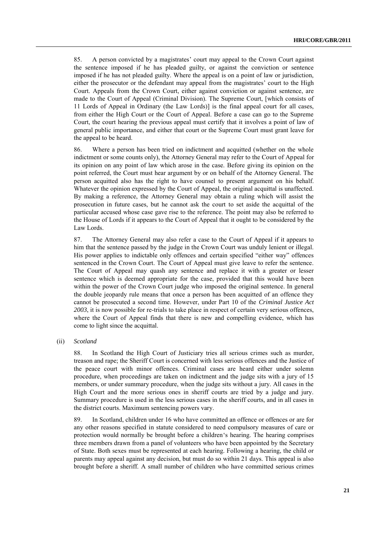85. A person convicted by a magistrates' court may appeal to the Crown Court against the sentence imposed if he has pleaded guilty, or against the conviction or sentence imposed if he has not pleaded guilty. Where the appeal is on a point of law or jurisdiction, either the prosecutor or the defendant may appeal from the magistrates' court to the High Court. Appeals from the Crown Court, either against conviction or against sentence, are made to the Court of Appeal (Criminal Division). The Supreme Court, [which consists of 11 Lords of Appeal in Ordinary (the Law Lords)] is the final appeal court for all cases, from either the High Court or the Court of Appeal. Before a case can go to the Supreme Court, the court hearing the previous appeal must certify that it involves a point of law of general public importance, and either that court or the Supreme Court must grant leave for the appeal to be heard.

86. Where a person has been tried on indictment and acquitted (whether on the whole indictment or some counts only), the Attorney General may refer to the Court of Appeal for its opinion on any point of law which arose in the case. Before giving its opinion on the point referred, the Court must hear argument by or on behalf of the Attorney General. The person acquitted also has the right to have counsel to present argument on his behalf. Whatever the opinion expressed by the Court of Appeal, the original acquittal is unaffected. By making a reference, the Attorney General may obtain a ruling which will assist the prosecution in future cases, but he cannot ask the court to set aside the acquittal of the particular accused whose case gave rise to the reference. The point may also be referred to the House of Lords if it appears to the Court of Appeal that it ought to be considered by the Law Lords.

87. The Attorney General may also refer a case to the Court of Appeal if it appears to him that the sentence passed by the judge in the Crown Court was unduly lenient or illegal. His power applies to indictable only offences and certain specified "either way" offences sentenced in the Crown Court. The Court of Appeal must give leave to refer the sentence. The Court of Appeal may quash any sentence and replace it with a greater or lesser sentence which is deemed appropriate for the case, provided that this would have been within the power of the Crown Court judge who imposed the original sentence. In general the double jeopardy rule means that once a person has been acquitted of an offence they cannot be prosecuted a second time. However, under Part 10 of the *Criminal Justice Act 2003*, it is now possible for re-trials to take place in respect of certain very serious offences, where the Court of Appeal finds that there is new and compelling evidence, which has come to light since the acquittal.

(ii) *Scotland*

88. In Scotland the High Court of Justiciary tries all serious crimes such as murder, treason and rape; the Sheriff Court is concerned with less serious offences and the Justice of the peace court with minor offences. Criminal cases are heard either under solemn procedure, when proceedings are taken on indictment and the judge sits with a jury of 15 members, or under summary procedure, when the judge sits without a jury. All cases in the High Court and the more serious ones in sheriff courts are tried by a judge and jury. Summary procedure is used in the less serious cases in the sheriff courts, and in all cases in the district courts. Maximum sentencing powers vary.

89. In Scotland, children under 16 who have committed an offence or offences or are for any other reasons specified in statute considered to need compulsory measures of care or protection would normally be brought before a children's hearing. The hearing comprises three members drawn from a panel of volunteers who have been appointed by the Secretary of State. Both sexes must be represented at each hearing. Following a hearing, the child or parents may appeal against any decision, but must do so within 21 days. This appeal is also brought before a sheriff. A small number of children who have committed serious crimes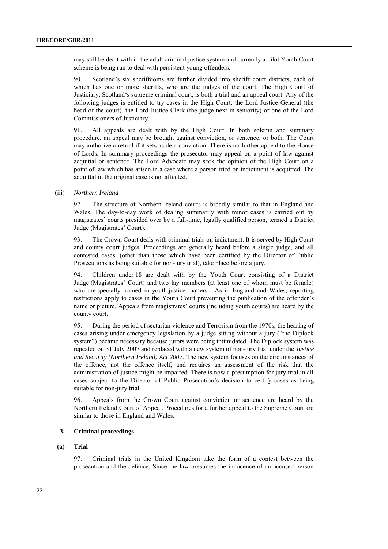may still be dealt with in the adult criminal justice system and currently a pilot Youth Court scheme is being run to deal with persistent young offenders.

90. Scotland's six sheriffdoms are further divided into sheriff court districts, each of which has one or more sheriffs, who are the judges of the court. The High Court of Justiciary, Scotland‗s supreme criminal court, is both a trial and an appeal court. Any of the following judges is entitled to try cases in the High Court: the Lord Justice General (the head of the court), the Lord Justice Clerk (the judge next in seniority) or one of the Lord Commissioners of Justiciary.

91. All appeals are dealt with by the High Court. In both solemn and summary procedure, an appeal may be brought against conviction, or sentence, or both. The Court may authorize a retrial if it sets aside a conviction. There is no further appeal to the House of Lords. In summary proceedings the prosecutor may appeal on a point of law against acquittal or sentence. The Lord Advocate may seek the opinion of the High Court on a point of law which has arisen in a case where a person tried on indictment is acquitted. The acquittal in the original case is not affected.

#### (iii) *Northern Ireland*

92. The structure of Northern Ireland courts is broadly similar to that in England and Wales. The day-to-day work of dealing summarily with minor cases is carried out by magistrates' courts presided over by a full-time, legally qualified person, termed a District Judge (Magistrates' Court).

93. The Crown Court deals with criminal trials on indictment. It is served by High Court and county court judges. Proceedings are generally heard before a single judge, and all contested cases, (other than those which have been certified by the Director of Public Prosecutions as being suitable for non-jury trial), take place before a jury.

94. Children under 18 are dealt with by the Youth Court consisting of a District Judge (Magistrates' Court) and two lay members (at least one of whom must be female) who are specially trained in youth justice matters. As in England and Wales, reporting restrictions apply to cases in the Youth Court preventing the publication of the offender's name or picture. Appeals from magistrates' courts (including youth courts) are heard by the county court.

95. During the period of sectarian violence and Terrorism from the 1970s, the hearing of cases arising under emergency legislation by a judge sitting without a jury ("the Diplock system") became necessary because jurors were being intimidated. The Diplock system was repealed on 31 July 2007 and replaced with a new system of non-jury trial under the *Justice and Security (Northern Ireland) Act 2007*. The new system focuses on the circumstances of the offence, not the offence itself, and requires an assessment of the risk that the administration of justice might be impaired. There is now a presumption for jury trial in all cases subject to the Director of Public Prosecution's decision to certify cases as being suitable for non-jury trial.

96. Appeals from the Crown Court against conviction or sentence are heard by the Northern Ireland Court of Appeal. Procedures for a further appeal to the Supreme Court are similar to those in England and Wales.

### **3. Criminal proceedings**

## **(a) Trial**

97. Criminal trials in the United Kingdom take the form of a contest between the prosecution and the defence. Since the law presumes the innocence of an accused person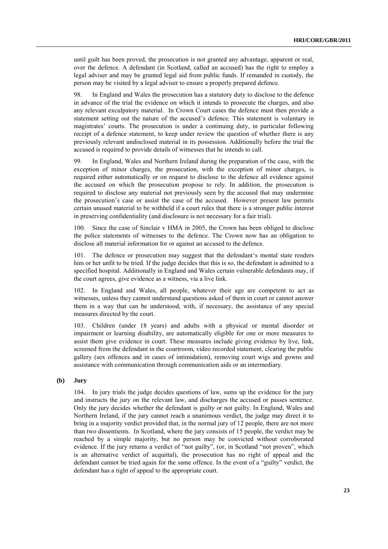until guilt has been proved, the prosecution is not granted any advantage, apparent or real, over the defence. A defendant (in Scotland, called an accused) has the right to employ a legal adviser and may be granted legal aid from public funds. If remanded in custody, the person may be visited by a legal adviser to ensure a properly prepared defence.

98. In England and Wales the prosecution has a statutory duty to disclose to the defence in advance of the trial the evidence on which it intends to prosecute the charges, and also any relevant exculpatory material. In Crown Court cases the defence must then provide a statement setting out the nature of the accused's defence. This statement is voluntary in magistrates' courts. The prosecution is under a continuing duty, in particular following receipt of a defence statement, to keep under review the question of whether there is any previously relevant undisclosed material in its possession. Additionally before the trial the accused is required to provide details of witnesses that he intends to call.

99. In England, Wales and Northern Ireland during the preparation of the case, with the exception of minor charges, the prosecution, with the exception of minor charges, is required either automatically or on request to disclose to the defence all evidence against the accused on which the prosecution propose to rely. In addition, the prosecution is required to disclose any material not previously seen by the accused that may undermine the prosecution's case or assist the case of the accused. However present law permits certain unused material to be withheld if a court rules that there is a stronger public interest in preserving confidentiality (and disclosure is not necessary for a fair trial).

100. Since the case of Sinclair v HMA in 2005, the Crown has been obliged to disclose the police statements of witnesses to the defence. The Crown now has an obligation to disclose all material information for or against an accused to the defence.

101. The defence or prosecution may suggest that the defendant's mental state renders him or her unfit to be tried. If the judge decides that this is so, the defendant is admitted to a specified hospital. Additionally in England and Wales certain vulnerable defendants may, if the court agrees, give evidence as a witness, via a live link.

102. In England and Wales, all people, whatever their age are competent to act as witnesses, unless they cannot understand questions asked of them in court or cannot answer them in a way that can be understood, with, if necessary, the assistance of any special measures directed by the court.

103. Children (under 18 years) and adults with a physical or mental disorder or impairment or learning disability, are automatically eligible for one or more measures to assist them give evidence in court. These measures include giving evidence by live, link, screened from the defendant in the courtroom, video recorded statement, clearing the public gallery (sex offences and in cases of intimidation), removing court wigs and gowns and assistance with communication through communication aids or an intermediary.

## **(b) Jury**

104. In jury trials the judge decides questions of law, sums up the evidence for the jury and instructs the jury on the relevant law, and discharges the accused or passes sentence. Only the jury decides whether the defendant is guilty or not guilty. In England, Wales and Northern Ireland, if the jury cannot reach a unanimous verdict, the judge may direct it to bring in a majority verdict provided that, in the normal jury of 12 people, there are not more than two dissentients. In Scotland, where the jury consists of 15 people, the verdict may be reached by a simple majority, but no person may be convicted without corroborated evidence. If the jury returns a verdict of "not guilty", (or, in Scotland "not proven", which is an alternative verdict of acquittal), the prosecution has no right of appeal and the defendant cannot be tried again for the same offence. In the event of a "guilty" verdict, the defendant has a right of appeal to the appropriate court.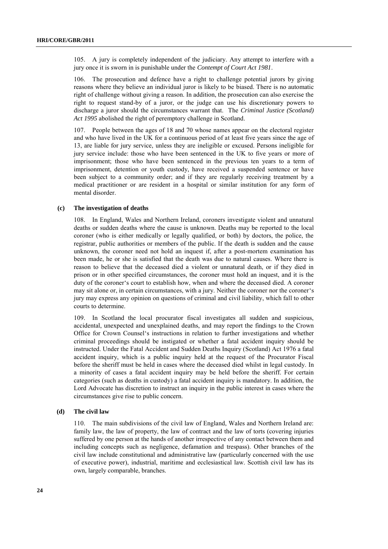105. A jury is completely independent of the judiciary. Any attempt to interfere with a jury once it is sworn in is punishable under the *Contempt of Court Act 1981*.

106. The prosecution and defence have a right to challenge potential jurors by giving reasons where they believe an individual juror is likely to be biased. There is no automatic right of challenge without giving a reason. In addition, the prosecution can also exercise the right to request stand-by of a juror, or the judge can use his discretionary powers to discharge a juror should the circumstances warrant that. The *Criminal Justice (Scotland) Act 1995* abolished the right of peremptory challenge in Scotland.

107. People between the ages of 18 and 70 whose names appear on the electoral register and who have lived in the UK for a continuous period of at least five years since the age of 13, are liable for jury service, unless they are ineligible or excused. Persons ineligible for jury service include: those who have been sentenced in the UK to five years or more of imprisonment; those who have been sentenced in the previous ten years to a term of imprisonment, detention or youth custody, have received a suspended sentence or have been subject to a community order; and if they are regularly receiving treatment by a medical practitioner or are resident in a hospital or similar institution for any form of mental disorder.

#### **(c) The investigation of deaths**

108. In England, Wales and Northern Ireland, coroners investigate violent and unnatural deaths or sudden deaths where the cause is unknown. Deaths may be reported to the local coroner (who is either medically or legally qualified, or both) by doctors, the police, the registrar, public authorities or members of the public. If the death is sudden and the cause unknown, the coroner need not hold an inquest if, after a post-mortem examination has been made, he or she is satisfied that the death was due to natural causes. Where there is reason to believe that the deceased died a violent or unnatural death, or if they died in prison or in other specified circumstances, the coroner must hold an inquest, and it is the duty of the coroner's court to establish how, when and where the deceased died. A coroner may sit alone or, in certain circumstances, with a jury. Neither the coroner nor the coroner's jury may express any opinion on questions of criminal and civil liability, which fall to other courts to determine.

109. In Scotland the local procurator fiscal investigates all sudden and suspicious, accidental, unexpected and unexplained deaths, and may report the findings to the Crown Office for Crown Counsel‗s instructions in relation to further investigations and whether criminal proceedings should be instigated or whether a fatal accident inquiry should be instructed. Under the Fatal Accident and Sudden Deaths Inquiry (Scotland) Act 1976 a fatal accident inquiry, which is a public inquiry held at the request of the Procurator Fiscal before the sheriff must be held in cases where the deceased died whilst in legal custody. In a minority of cases a fatal accident inquiry may be held before the sheriff. For certain categories (such as deaths in custody) a fatal accident inquiry is mandatory. In addition, the Lord Advocate has discretion to instruct an inquiry in the public interest in cases where the circumstances give rise to public concern.

## **(d) The civil law**

110. The main subdivisions of the civil law of England, Wales and Northern Ireland are: family law, the law of property, the law of contract and the law of torts (covering injuries suffered by one person at the hands of another irrespective of any contact between them and including concepts such as negligence, defamation and trespass). Other branches of the civil law include constitutional and administrative law (particularly concerned with the use of executive power), industrial, maritime and ecclesiastical law. Scottish civil law has its own, largely comparable, branches.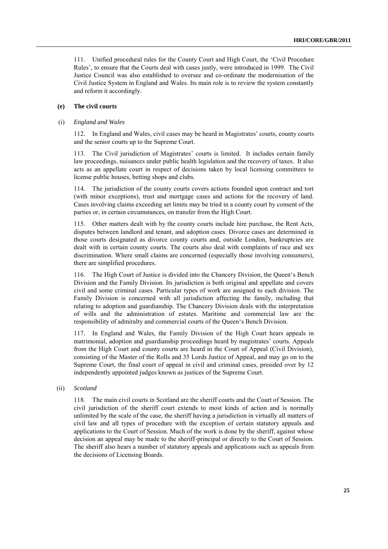111. Unified procedural rules for the County Court and High Court, the 'Civil Procedure Rules', to ensure that the Courts deal with cases justly, were introduced in 1999. The Civil Justice Council was also established to oversee and co-ordinate the modernisation of the Civil Justice System in England and Wales. Its main role is to review the system constantly and reform it accordingly.

## **(e) The civil courts**

#### (i) *England and Wales*

112. In England and Wales, civil cases may be heard in Magistrates' courts, county courts and the senior courts up to the Supreme Court.

113. The Civil jurisdiction of Magistrates' courts is limited. It includes certain family law proceedings, nuisances under public health legislation and the recovery of taxes. It also acts as an appellate court in respect of decisions taken by local licensing committees to license public houses, betting shops and clubs.

114. The jurisdiction of the county courts covers actions founded upon contract and tort (with minor exceptions), trust and mortgage cases and actions for the recovery of land. Cases involving claims exceeding set limits may be tried in a county court by consent of the parties or, in certain circumstances, on transfer from the High Court.

115. Other matters dealt with by the county courts include hire purchase, the Rent Acts, disputes between landlord and tenant, and adoption cases. Divorce cases are determined in those courts designated as divorce county courts and, outside London, bankruptcies are dealt with in certain county courts. The courts also deal with complaints of race and sex discrimination. Where small claims are concerned (especially those involving consumers), there are simplified procedures.

116. The High Court of Justice is divided into the Chancery Division, the Queen's Bench Division and the Family Division. Its jurisdiction is both original and appellate and covers civil and some criminal cases. Particular types of work are assigned to each division. The Family Division is concerned with all jurisdiction affecting the family, including that relating to adoption and guardianship. The Chancery Division deals with the interpretation of wills and the administration of estates. Maritime and commercial law are the responsibility of admiralty and commercial courts of the Queen's Bench Division.

117. In England and Wales, the Family Division of the High Court hears appeals in matrimonial, adoption and guardianship proceedings heard by magistrates' courts. Appeals from the High Court and county courts are heard in the Court of Appeal (Civil Division), consisting of the Master of the Rolls and 35 Lords Justice of Appeal, and may go on to the Supreme Court, the final court of appeal in civil and criminal cases, presided over by 12 independently appointed judges known as justices of the Supreme Court.

## (ii) *Scotland*

118. The main civil courts in Scotland are the sheriff courts and the Court of Session. The civil jurisdiction of the sheriff court extends to most kinds of action and is normally unlimited by the scale of the case, the sheriff having a jurisdiction in virtually all matters of civil law and all types of procedure with the exception of certain statutory appeals and applications to the Court of Session. Much of the work is done by the sheriff, against whose decision an appeal may be made to the sheriff-principal or directly to the Court of Session. The sheriff also hears a number of statutory appeals and applications such as appeals from the decisions of Licensing Boards.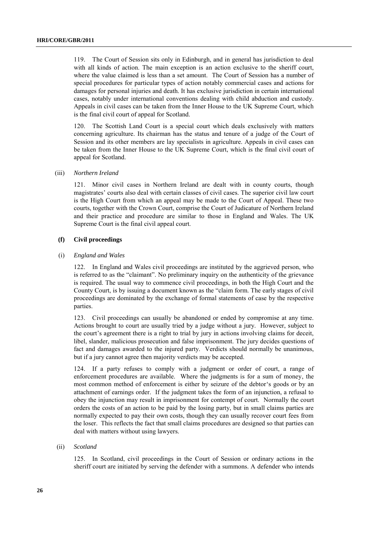119. The Court of Session sits only in Edinburgh, and in general has jurisdiction to deal with all kinds of action. The main exception is an action exclusive to the sheriff court, where the value claimed is less than a set amount. The Court of Session has a number of special procedures for particular types of action notably commercial cases and actions for damages for personal injuries and death. It has exclusive jurisdiction in certain international cases, notably under international conventions dealing with child abduction and custody. Appeals in civil cases can be taken from the Inner House to the UK Supreme Court, which is the final civil court of appeal for Scotland.

120. The Scottish Land Court is a special court which deals exclusively with matters concerning agriculture. Its chairman has the status and tenure of a judge of the Court of Session and its other members are lay specialists in agriculture. Appeals in civil cases can be taken from the Inner House to the UK Supreme Court, which is the final civil court of appeal for Scotland.

#### (iii) *Northern Ireland*

121. Minor civil cases in Northern Ireland are dealt with in county courts, though magistrates' courts also deal with certain classes of civil cases. The superior civil law court is the High Court from which an appeal may be made to the Court of Appeal. These two courts, together with the Crown Court, comprise the Court of Judicature of Northern Ireland and their practice and procedure are similar to those in England and Wales. The UK Supreme Court is the final civil appeal court.

#### **(f) Civil proceedings**

## (i) *England and Wales*

122. In England and Wales civil proceedings are instituted by the aggrieved person, who is referred to as the "claimant". No preliminary inquiry on the authenticity of the grievance is required. The usual way to commence civil proceedings, in both the High Court and the County Court, is by issuing a document known as the "claim form. The early stages of civil proceedings are dominated by the exchange of formal statements of case by the respective parties.

123. Civil proceedings can usually be abandoned or ended by compromise at any time. Actions brought to court are usually tried by a judge without a jury. However, subject to the court's agreement there is a right to trial by jury in actions involving claims for deceit, libel, slander, malicious prosecution and false imprisonment. The jury decides questions of fact and damages awarded to the injured party. Verdicts should normally be unanimous, but if a jury cannot agree then majority verdicts may be accepted.

124. If a party refuses to comply with a judgment or order of court, a range of enforcement procedures are available. Where the judgments is for a sum of money, the most common method of enforcement is either by seizure of the debtor's goods or by an attachment of earnings order. If the judgment takes the form of an injunction, a refusal to obey the injunction may result in imprisonment for contempt of court. Normally the court orders the costs of an action to be paid by the losing party, but in small claims parties are normally expected to pay their own costs, though they can usually recover court fees from the loser. This reflects the fact that small claims procedures are designed so that parties can deal with matters without using lawyers.

## (ii) *Scotland*

125. In Scotland, civil proceedings in the Court of Session or ordinary actions in the sheriff court are initiated by serving the defender with a summons. A defender who intends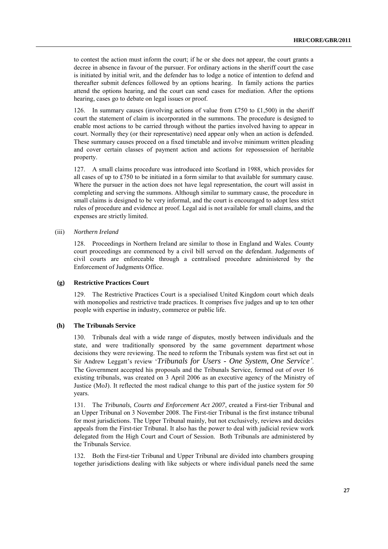to contest the action must inform the court; if he or she does not appear, the court grants a decree in absence in favour of the pursuer. For ordinary actions in the sheriff court the case is initiated by initial writ, and the defender has to lodge a notice of intention to defend and thereafter submit defences followed by an options hearing. In family actions the parties attend the options hearing, and the court can send cases for mediation. After the options hearing, cases go to debate on legal issues or proof.

126. In summary causes (involving actions of value from £750 to £1,500) in the sheriff court the statement of claim is incorporated in the summons. The procedure is designed to enable most actions to be carried through without the parties involved having to appear in court. Normally they (or their representative) need appear only when an action is defended. These summary causes proceed on a fixed timetable and involve minimum written pleading and cover certain classes of payment action and actions for repossession of heritable property.

127. A small claims procedure was introduced into Scotland in 1988, which provides for all cases of up to £750 to be initiated in a form similar to that available for summary cause. Where the pursuer in the action does not have legal representation, the court will assist in completing and serving the summons. Although similar to summary cause, the procedure in small claims is designed to be very informal, and the court is encouraged to adopt less strict rules of procedure and evidence at proof. Legal aid is not available for small claims, and the expenses are strictly limited.

## (iii) *Northern Ireland*

128. Proceedings in Northern Ireland are similar to those in England and Wales. County court proceedings are commenced by a civil bill served on the defendant. Judgements of civil courts are enforceable through a centralised procedure administered by the Enforcement of Judgments Office.

## **(g) Restrictive Practices Court**

129. The Restrictive Practices Court is a specialised United Kingdom court which deals with monopolies and restrictive trade practices. It comprises five judges and up to ten other people with expertise in industry, commerce or public life.

## **(h) The Tribunals Service**

130. Tribunals deal with a wide range of disputes, mostly between individuals and the state, and were traditionally sponsored by the same government department whose decisions they were reviewing. The need to reform the Tribunals system was first set out in Sir Andrew Leggatt's review ‗*Tribunals for Users - One System, One Service'*. The Government accepted his proposals and the Tribunals Service, formed out of over 16 existing tribunals, was created on 3 April 2006 as an executive agency of the Ministry of Justice (MoJ). It reflected the most radical change to this part of the justice system for 50 years.

131. The *Tribunals, Courts and Enforcement Act 2007*, created a First-tier Tribunal and an Upper Tribunal on 3 November 2008. The First-tier Tribunal is the first instance tribunal for most jurisdictions. The Upper Tribunal mainly, but not exclusively, reviews and decides appeals from the First-tier Tribunal. It also has the power to deal with judicial review work delegated from the High Court and Court of Session. Both Tribunals are administered by the Tribunals Service.

132. Both the First-tier Tribunal and Upper Tribunal are divided into chambers grouping together jurisdictions dealing with like subjects or where individual panels need the same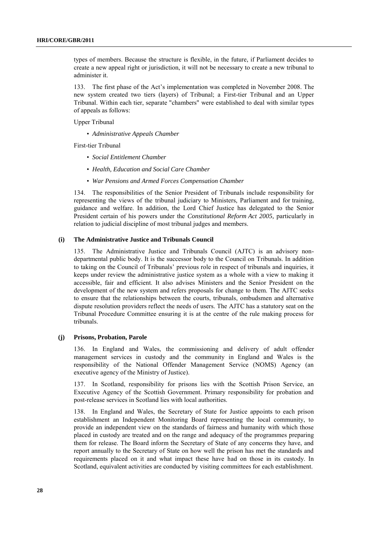types of members. Because the structure is flexible, in the future, if Parliament decides to create a new appeal right or jurisdiction, it will not be necessary to create a new tribunal to administer it.

133. The first phase of the Act's implementation was completed in November 2008. The new system created two tiers (layers) of Tribunal; a First-tier Tribunal and an Upper Tribunal. Within each tier, separate "chambers" were established to deal with similar types of appeals as follows:

Upper Tribunal

• *Administrative Appeals Chamber*

First-tier Tribunal

- *Social Entitlement Chamber*
- *Health, Education and Social Care Chamber*
- *War Pensions and Armed Forces Compensation Chamber*

134. The responsibilities of the Senior President of Tribunals include responsibility for representing the views of the tribunal judiciary to Ministers, Parliament and for training, guidance and welfare. In addition, the Lord Chief Justice has delegated to the Senior President certain of his powers under the *Constitutional Reform Act 2005,* particularly in relation to judicial discipline of most tribunal judges and members.

## **(i) The Administrative Justice and Tribunals Council**

135. The Administrative Justice and Tribunals Council (AJTC) is an advisory nondepartmental public body. It is the successor body to the Council on Tribunals. In addition to taking on the Council of Tribunals' previous role in respect of tribunals and inquiries, it keeps under review the administrative justice system as a whole with a view to making it accessible, fair and efficient. It also advises Ministers and the Senior President on the development of the new system and refers proposals for change to them. The AJTC seeks to ensure that the relationships between the courts, tribunals, ombudsmen and alternative dispute resolution providers reflect the needs of users. The AJTC has a statutory seat on the Tribunal Procedure Committee ensuring it is at the centre of the rule making process for tribunals.

#### **(j) Prisons, Probation, Parole**

136. In England and Wales, the commissioning and delivery of adult offender management services in custody and the community in England and Wales is the responsibility of the National Offender Management Service (NOMS) Agency (an executive agency of the Ministry of Justice).

137. In Scotland, responsibility for prisons lies with the Scottish Prison Service, an Executive Agency of the Scottish Government. Primary responsibility for probation and post-release services in Scotland lies with local authorities.

138. In England and Wales, the Secretary of State for Justice appoints to each prison establishment an Independent Monitoring Board representing the local community, to provide an independent view on the standards of fairness and humanity with which those placed in custody are treated and on the range and adequacy of the programmes preparing them for release. The Board inform the Secretary of State of any concerns they have, and report annually to the Secretary of State on how well the prison has met the standards and requirements placed on it and what impact these have had on those in its custody. In Scotland, equivalent activities are conducted by visiting committees for each establishment.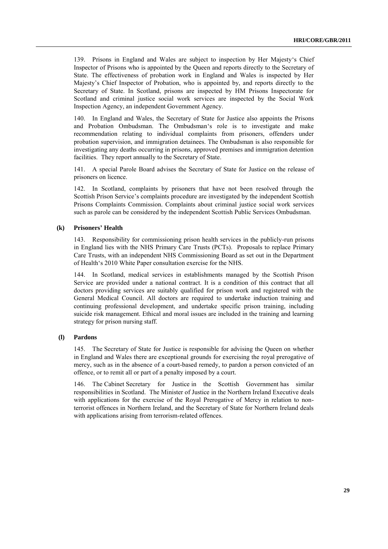139. Prisons in England and Wales are subject to inspection by Her Majesty‗s Chief Inspector of Prisons who is appointed by the Queen and reports directly to the Secretary of State. The effectiveness of probation work in England and Wales is inspected by Her Majesty's Chief Inspector of Probation, who is appointed by, and reports directly to the Secretary of State. In Scotland, prisons are inspected by HM Prisons Inspectorate for Scotland and criminal justice social work services are inspected by the Social Work Inspection Agency, an independent Government Agency.

140. In England and Wales, the Secretary of State for Justice also appoints the Prisons and Probation Ombudsman. The Ombudsman's role is to investigate and make recommendation relating to individual complaints from prisoners, offenders under probation supervision, and immigration detainees. The Ombudsman is also responsible for investigating any deaths occurring in prisons, approved premises and immigration detention facilities. They report annually to the Secretary of State.

141. A special Parole Board advises the Secretary of State for Justice on the release of prisoners on licence.

142. In Scotland, complaints by prisoners that have not been resolved through the Scottish Prison Service's complaints procedure are investigated by the independent Scottish Prisons Complaints Commission. Complaints about criminal justice social work services such as parole can be considered by the independent Scottish Public Services Ombudsman.

## **(k) Prisoners' Health**

143. Responsibility for commissioning prison health services in the publicly-run prisons in England lies with the NHS Primary Care Trusts (PCTs). Proposals to replace Primary Care Trusts, with an independent NHS Commissioning Board as set out in the Department of Health's 2010 White Paper consultation exercise for the NHS.

144. In Scotland, medical services in establishments managed by the Scottish Prison Service are provided under a national contract. It is a condition of this contract that all doctors providing services are suitably qualified for prison work and registered with the General Medical Council. All doctors are required to undertake induction training and continuing professional development, and undertake specific prison training, including suicide risk management. Ethical and moral issues are included in the training and learning strategy for prison nursing staff.

#### **(l) Pardons**

145. The Secretary of State for Justice is responsible for advising the Queen on whether in England and Wales there are exceptional grounds for exercising the royal prerogative of mercy, such as in the absence of a court-based remedy, to pardon a person convicted of an offence, or to remit all or part of a penalty imposed by a court.

146. The Cabinet Secretary for Justice in the Scottish Government has similar responsibilities in Scotland. The Minister of Justice in the Northern Ireland Executive deals with applications for the exercise of the Royal Prerogative of Mercy in relation to nonterrorist offences in Northern Ireland, and the Secretary of State for Northern Ireland deals with applications arising from terrorism-related offences.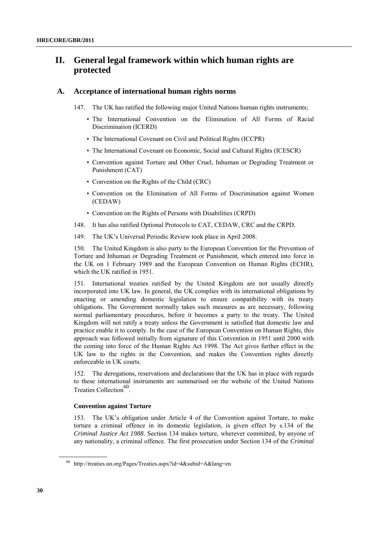## **II. General legal framework within which human rights are protected**

## **A. Acceptance of international human rights norms**

147. The UK has ratified the following major United Nations human rights instruments;

- The International Convention on the Elimination of All Forms of Racial Discrimination (ICERD)
- The International Covenant on Civil and Political Rights (ICCPR)
- The International Covenant on Economic, Social and Cultural Rights (ICESCR)
- Convention against Torture and Other Cruel, Inhuman or Degrading Treatment or Punishment (CAT)
- Convention on the Rights of the Child (CRC)
- Convention on the Elimination of All Forms of Discrimination against Women (CEDAW)
- Convention on the Rights of Persons with Disabilities (CRPD)
- 148. It has also ratified Optional Protocols to CAT, CEDAW, CRC and the CRPD.
- 149. The UK's Universal Periodic Review took place in April 2008.

150. The United Kingdom is also party to the European Convention for the Prevention of Torture and Inhuman or Degrading Treatment or Punishment, which entered into force in the UK on 1 February 1989 and the European Convention on Human Rights (ECHR), which the UK ratified in 1951.

151. International treaties ratified by the United Kingdom are not usually directly incorporated into UK law. In general, the UK complies with its international obligations by enacting or amending domestic legislation to ensure compatibility with its treaty obligations. The Government normally takes such measures as are necessary, following normal parliamentary procedures, before it becomes a party to the treaty. The United Kingdom will not ratify a treaty unless the Government is satisfied that domestic law and practice enable it to comply. In the case of the European Convention on Human Rights, this approach was followed initially from signature of this Convention in 1951 until 2000 with the coming into force of the Human Rights Act 1998. The Act gives further effect in the UK law to the rights in the Convention, and makes the Convention rights directly enforceable in UK courts.

The derogations, reservations and declarations that the UK has in place with regards to these international instruments are summarised on the website of the United Nations Treaties Collection<sup>60</sup>.

#### **Convention against Torture**

153. The UK's obligation under Article 4 of the Convention against Torture, to make torture a criminal offence in its domestic legislation, is given effect by s.134 of the *Criminal Justice Act 1988*. Section 134 makes torture, wherever committed, by anyone of any nationality, a criminal offence. The first prosecution under Section 134 of the *Criminal* 

 $60$  http://treaties.un.org/Pages/Treaties.aspx?id=4&subid=A&lang=en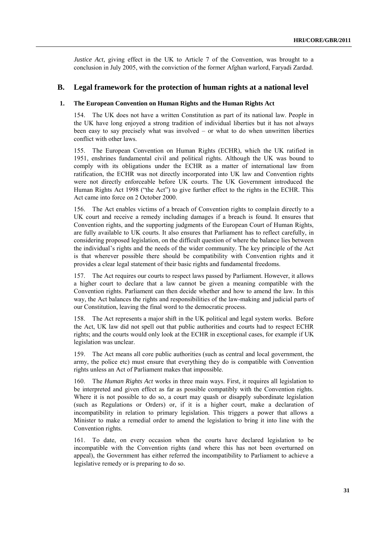*Justice Act, giving effect in the UK to Article 7 of the Convention, was brought to a* conclusion in July 2005, with the conviction of the former Afghan warlord, Faryadi Zardad.

## **B. Legal framework for the protection of human rights at a national level**

## **1. The European Convention on Human Rights and the Human Rights Act**

154. The UK does not have a written Constitution as part of its national law. People in the UK have long enjoyed a strong tradition of individual liberties but it has not always been easy to say precisely what was involved – or what to do when unwritten liberties conflict with other laws.

155. The European Convention on Human Rights (ECHR), which the UK ratified in 1951, enshrines fundamental civil and political rights. Although the UK was bound to comply with its obligations under the ECHR as a matter of international law from ratification, the ECHR was not directly incorporated into UK law and Convention rights were not directly enforceable before UK courts. The UK Government introduced the Human Rights Act 1998 ("the Act") to give further effect to the rights in the ECHR. This Act came into force on 2 October 2000.

156. The Act enables victims of a breach of Convention rights to complain directly to a UK court and receive a remedy including damages if a breach is found. It ensures that Convention rights, and the supporting judgments of the European Court of Human Rights, are fully available to UK courts. It also ensures that Parliament has to reflect carefully, in considering proposed legislation, on the difficult question of where the balance lies between the individual's rights and the needs of the wider community. The key principle of the Act is that wherever possible there should be compatibility with Convention rights and it provides a clear legal statement of their basic rights and fundamental freedoms.

157. The Act requires our courts to respect laws passed by Parliament. However, it allows a higher court to declare that a law cannot be given a meaning compatible with the Convention rights. Parliament can then decide whether and how to amend the law. In this way, the Act balances the rights and responsibilities of the law-making and judicial parts of our Constitution, leaving the final word to the democratic process.

158. The Act represents a major shift in the UK political and legal system works. Before the Act, UK law did not spell out that public authorities and courts had to respect ECHR rights; and the courts would only look at the ECHR in exceptional cases, for example if UK legislation was unclear.

159. The Act means all core public authorities (such as central and local government, the army, the police etc) must ensure that everything they do is compatible with Convention rights unless an Act of Parliament makes that impossible.

160. The *Human Rights Act* works in three main ways. First, it requires all legislation to be interpreted and given effect as far as possible compatibly with the Convention rights. Where it is not possible to do so, a court may quash or disapply subordinate legislation (such as Regulations or Orders) or, if it is a higher court, make a declaration of incompatibility in relation to primary legislation. This triggers a power that allows a Minister to make a remedial order to amend the legislation to bring it into line with the Convention rights.

161. To date, on every occasion when the courts have declared legislation to be incompatible with the Convention rights (and where this has not been overturned on appeal), the Government has either referred the incompatibility to Parliament to achieve a legislative remedy or is preparing to do so.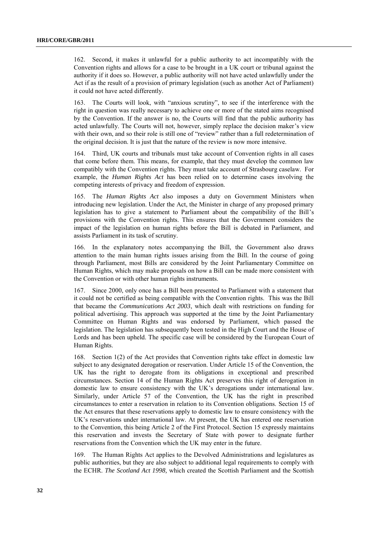162. Second, it makes it unlawful for a public authority to act incompatibly with the Convention rights and allows for a case to be brought in a UK court or tribunal against the authority if it does so. However, a public authority will not have acted unlawfully under the Act if as the result of a provision of primary legislation (such as another Act of Parliament) it could not have acted differently.

The Courts will look, with "anxious scrutiny", to see if the interference with the right in question was really necessary to achieve one or more of the stated aims recognised by the Convention. If the answer is no, the Courts will find that the public authority has acted unlawfully. The Courts will not, however, simply replace the decision maker's view with their own, and so their role is still one of "review" rather than a full redetermination of the original decision. It is just that the nature of the review is now more intensive.

164. Third, UK courts and tribunals must take account of Convention rights in all cases that come before them. This means, for example, that they must develop the common law compatibly with the Convention rights. They must take account of Strasbourg caselaw. For example, the *Human Rights Act* has been relied on to determine cases involving the competing interests of privacy and freedom of expression.

165. The *Human Rights Act* also imposes a duty on Government Ministers when introducing new legislation. Under the Act, the Minister in charge of any proposed primary legislation has to give a statement to Parliament about the compatibility of the Bill's provisions with the Convention rights. This ensures that the Government considers the impact of the legislation on human rights before the Bill is debated in Parliament, and assists Parliament in its task of scrutiny.

166. In the explanatory notes accompanying the Bill, the Government also draws attention to the main human rights issues arising from the Bill. In the course of going through Parliament, most Bills are considered by the Joint Parliamentary Committee on Human Rights, which may make proposals on how a Bill can be made more consistent with the Convention or with other human rights instruments.

167. Since 2000, only once has a Bill been presented to Parliament with a statement that it could not be certified as being compatible with the Convention rights. This was the Bill that became the *Communications Act 2003*, which dealt with restrictions on funding for political advertising. This approach was supported at the time by the Joint Parliamentary Committee on Human Rights and was endorsed by Parliament, which passed the legislation. The legislation has subsequently been tested in the High Court and the House of Lords and has been upheld. The specific case will be considered by the European Court of Human Rights.

168. Section 1(2) of the Act provides that Convention rights take effect in domestic law subject to any designated derogation or reservation. Under Article 15 of the Convention, the UK has the right to derogate from its obligations in exceptional and prescribed circumstances. Section 14 of the Human Rights Act preserves this right of derogation in domestic law to ensure consistency with the UK's derogations under international law. Similarly, under Article 57 of the Convention, the UK has the right in prescribed circumstances to enter a reservation in relation to its Convention obligations. Section 15 of the Act ensures that these reservations apply to domestic law to ensure consistency with the UK's reservations under international law. At present, the UK has entered one reservation to the Convention, this being Article 2 of the First Protocol. Section 15 expressly maintains this reservation and invests the Secretary of State with power to designate further reservations from the Convention which the UK may enter in the future.

169. The Human Rights Act applies to the Devolved Administrations and legislatures as public authorities, but they are also subject to additional legal requirements to comply with the ECHR. *The Scotland Act 1998,* which created the Scottish Parliament and the Scottish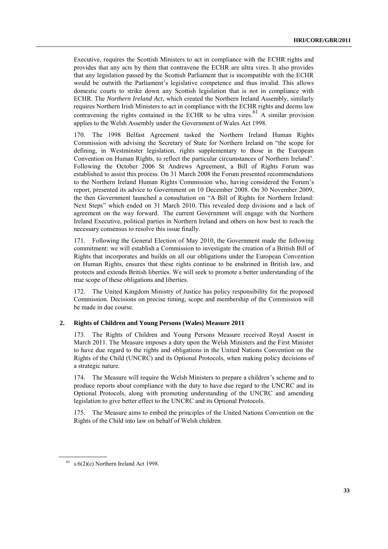Executive, requires the Scottish Ministers to act in compliance with the ECHR rights and provides that any acts by them that contravene the ECHR are ultra vires. It also provides that any legislation passed by the Scottish Parliament that is incompatible with the ECHR would be outwith the Parliament's legislative competence and thus invalid. This allows domestic courts to strike down any Scottish legislation that is not in compliance with ECHR. The *Northern Ireland Act,* which created the Northern Ireland Assembly, similarly requires Northern Irish Ministers to act in compliance with the ECHR rights and deems law contravening the rights contained in the ECHR to be ultra vires.  $61$  A similar provision applies to the Welsh Assembly under the Government of Wales Act 1998.

170. The 1998 Belfast Agreement tasked the Northern Ireland Human Rights Commission with advising the Secretary of State for Northern Ireland on "the scope for defining, in Westminster legislation, rights supplementary to those in the European Convention on Human Rights, to reflect the particular circumstances of Northern Ireland". Following the October 2006 St Andrews Agreement, a Bill of Rights Forum was established to assist this process. On 31 March 2008 the Forum presented recommendations to the Northern Ireland Human Rights Commission who, having considered the Forum's report, presented its advice to Government on 10 December 2008. On 30 November 2009, the then Government launched a consultation on "A Bill of Rights for Northern Ireland: Next Steps" which ended on 31 March 2010. This revealed deep divisions and a lack of agreement on the way forward. The current Government will engage with the Northern Ireland Executive, political parties in Northern Ireland and others on how best to reach the necessary consensus to resolve this issue finally.

171. Following the General Election of May 2010, the Government made the following commitment: we will establish a Commission to investigate the creation of a British Bill of Rights that incorporates and builds on all our obligations under the European Convention on Human Rights, ensures that these rights continue to be enshrined in British law, and protects and extends British liberties. We will seek to promote a better understanding of the true scope of these obligations and liberties.

172. The United Kingdom Ministry of Justice has policy responsibility for the proposed Commission. Decisions on precise timing, scope and membership of the Commission will be made in due course.

#### **2. Rights of Children and Young Persons (Wales) Measure 2011**

173. The Rights of Children and Young Persons Measure received Royal Assent in March 2011. The Measure imposes a duty upon the Welsh Ministers and the First Minister to have due regard to the rights and obligations in the United Nations Convention on the Rights of the Child (UNCRC) and its Optional Protocols, when making policy decisions of a strategic nature.

174. The Measure will require the Welsh Ministers to prepare a children's scheme and to produce reports about compliance with the duty to have due regard to the UNCRC and its Optional Protocols, along with promoting understanding of the UNCRC and amending legislation to give better effect to the UNCRC and its Optional Protocols.

175. The Measure aims to embed the principles of the United Nations Convention on the Rights of the Child into law on behalf of Welsh children.

 $61$  s.  $6(2)$ (c) Northern Ireland Act 1998.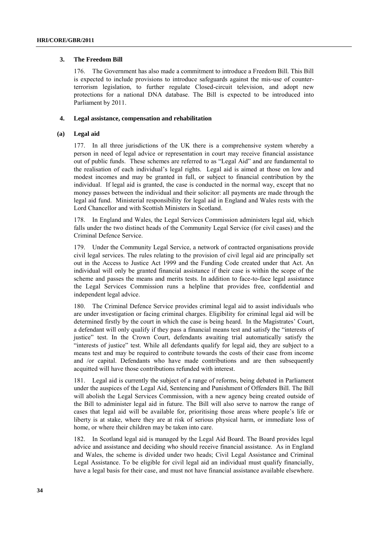## **3. The Freedom Bill**

176. The Government has also made a commitment to introduce a Freedom Bill. This Bill is expected to include provisions to introduce safeguards against the mis-use of counterterrorism legislation, to further regulate Closed-circuit television, and adopt new protections for a national DNA database. The Bill is expected to be introduced into Parliament by 2011.

## **4. Legal assistance, compensation and rehabilitation**

## **(a) Legal aid**

177. In all three jurisdictions of the UK there is a comprehensive system whereby a person in need of legal advice or representation in court may receive financial assistance out of public funds. These schemes are referred to as "Legal Aid" and are fundamental to the realisation of each individual's legal rights. Legal aid is aimed at those on low and modest incomes and may be granted in full, or subject to financial contribution by the individual. If legal aid is granted, the case is conducted in the normal way, except that no money passes between the individual and their solicitor: all payments are made through the legal aid fund. Ministerial responsibility for legal aid in England and Wales rests with the Lord Chancellor and with Scottish Ministers in Scotland.

178. In England and Wales, the Legal Services Commission administers legal aid, which falls under the two distinct heads of the Community Legal Service (for civil cases) and the Criminal Defence Service.

179. Under the Community Legal Service, a network of contracted organisations provide civil legal services. The rules relating to the provision of civil legal aid are principally set out in the Access to Justice Act 1999 and the Funding Code created under that Act. An individual will only be granted financial assistance if their case is within the scope of the scheme and passes the means and merits tests. In addition to face-to-face legal assistance the Legal Services Commission runs a helpline that provides free, confidential and independent legal advice.

180. The Criminal Defence Service provides criminal legal aid to assist individuals who are under investigation or facing criminal charges. Eligibility for criminal legal aid will be determined firstly by the court in which the case is being heard. In the Magistrates' Court, a defendant will only qualify if they pass a financial means test and satisfy the "interests of justice" test. In the Crown Court, defendants awaiting trial automatically satisfy the "interests of justice" test. While all defendants qualify for legal aid, they are subject to a means test and may be required to contribute towards the costs of their case from income and /or capital. Defendants who have made contributions and are then subsequently acquitted will have those contributions refunded with interest.

181. Legal aid is currently the subject of a range of reforms, being debated in Parliament under the auspices of the Legal Aid, Sentencing and Punishment of Offenders Bill. The Bill will abolish the Legal Services Commission, with a new agency being created outside of the Bill to administer legal aid in future. The Bill will also serve to narrow the range of cases that legal aid will be available for, prioritising those areas where people's life or liberty is at stake, where they are at risk of serious physical harm, or immediate loss of home, or where their children may be taken into care.

182. In Scotland legal aid is managed by the Legal Aid Board. The Board provides legal advice and assistance and deciding who should receive financial assistance. As in England and Wales, the scheme is divided under two heads; Civil Legal Assistance and Criminal Legal Assistance. To be eligible for civil legal aid an individual must qualify financially, have a legal basis for their case, and must not have financial assistance available elsewhere.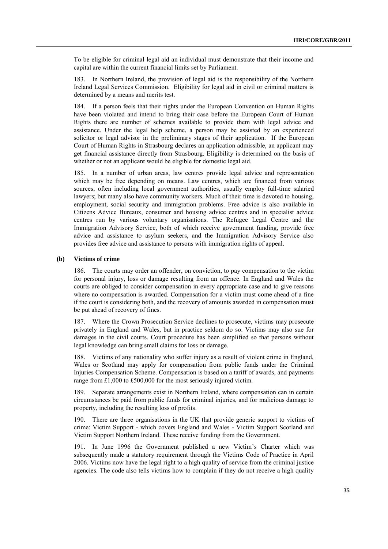To be eligible for criminal legal aid an individual must demonstrate that their income and capital are within the current financial limits set by Parliament.

183. In Northern Ireland, the provision of legal aid is the responsibility of the Northern Ireland Legal Services Commission. Eligibility for legal aid in civil or criminal matters is determined by a means and merits test.

184. If a person feels that their rights under the European Convention on Human Rights have been violated and intend to bring their case before the European Court of Human Rights there are number of schemes available to provide them with legal advice and assistance. Under the legal help scheme, a person may be assisted by an experienced solicitor or legal advisor in the preliminary stages of their application. If the European Court of Human Rights in Strasbourg declares an application admissible, an applicant may get financial assistance directly from Strasbourg. Eligibility is determined on the basis of whether or not an applicant would be eligible for domestic legal aid.

185. In a number of urban areas, law centres provide legal advice and representation which may be free depending on means. Law centres, which are financed from various sources, often including local government authorities, usually employ full-time salaried lawyers; but many also have community workers. Much of their time is devoted to housing, employment, social security and immigration problems. Free advice is also available in Citizens Advice Bureaux, consumer and housing advice centres and in specialist advice centres run by various voluntary organisations. The Refugee Legal Centre and the Immigration Advisory Service, both of which receive government funding, provide free advice and assistance to asylum seekers, and the Immigration Advisory Service also provides free advice and assistance to persons with immigration rights of appeal.

#### **(b) Victims of crime**

186. The courts may order an offender, on conviction, to pay compensation to the victim for personal injury, loss or damage resulting from an offence. In England and Wales the courts are obliged to consider compensation in every appropriate case and to give reasons where no compensation is awarded. Compensation for a victim must come ahead of a fine if the court is considering both, and the recovery of amounts awarded in compensation must be put ahead of recovery of fines.

187. Where the Crown Prosecution Service declines to prosecute, victims may prosecute privately in England and Wales, but in practice seldom do so. Victims may also sue for damages in the civil courts. Court procedure has been simplified so that persons without legal knowledge can bring small claims for loss or damage.

188. Victims of any nationality who suffer injury as a result of violent crime in England, Wales or Scotland may apply for compensation from public funds under the Criminal Injuries Compensation Scheme. Compensation is based on a tariff of awards, and payments range from £1,000 to £500,000 for the most seriously injured victim.

189. Separate arrangements exist in Northern Ireland, where compensation can in certain circumstances be paid from public funds for criminal injuries, and for malicious damage to property, including the resulting loss of profits.

190. There are three organisations in the UK that provide generic support to victims of crime: Victim Support - which covers England and Wales - Victim Support Scotland and Victim Support Northern Ireland. These receive funding from the Government.

191. In June 1996 the Government published a new Victim's Charter which was subsequently made a statutory requirement through the Victims Code of Practice in April 2006. Victims now have the legal right to a high quality of service from the criminal justice agencies. The code also tells victims how to complain if they do not receive a high quality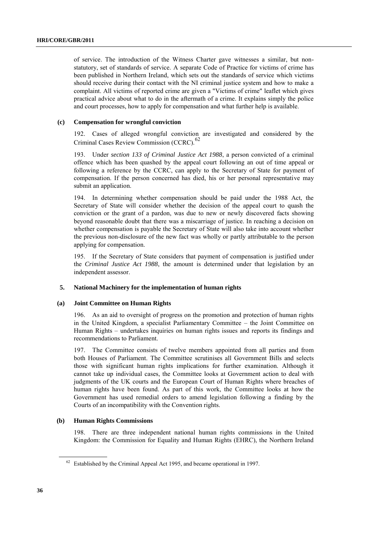of service. The introduction of the Witness Charter gave witnesses a similar, but nonstatutory, set of standards of service. A separate Code of Practice for victims of crime has been published in Northern Ireland, which sets out the standards of service which victims should receive during their contact with the NI criminal justice system and how to make a complaint. All victims of reported crime are given a "Victims of crime" leaflet which gives practical advice about what to do in the aftermath of a crime. It explains simply the police and court processes, how to apply for compensation and what further help is available.

## **(c) Compensation for wrongful conviction**

192. Cases of alleged wrongful conviction are investigated and considered by the Criminal Cases Review Commission (CCRC).<sup>62</sup>

193. Under *section 133 of Criminal Justice Act 1988*, a person convicted of a criminal offence which has been quashed by the appeal court following an out of time appeal or following a reference by the CCRC, can apply to the Secretary of State for payment of compensation. If the person concerned has died, his or her personal representative may submit an application.

194. In determining whether compensation should be paid under the 1988 Act, the Secretary of State will consider whether the decision of the appeal court to quash the conviction or the grant of a pardon, was due to new or newly discovered facts showing beyond reasonable doubt that there was a miscarriage of justice. In reaching a decision on whether compensation is payable the Secretary of State will also take into account whether the previous non-disclosure of the new fact was wholly or partly attributable to the person applying for compensation.

195. If the Secretary of State considers that payment of compensation is justified under the *Criminal Justice Act 1988*, the amount is determined under that legislation by an independent assessor.

## **5. National Machinery for the implementation of human rights**

#### **(a) Joint Committee on Human Rights**

196. As an aid to oversight of progress on the promotion and protection of human rights in the United Kingdom, a specialist Parliamentary Committee – the Joint Committee on Human Rights – undertakes inquiries on human rights issues and reports its findings and recommendations to Parliament.

197. The Committee consists of twelve members appointed from all parties and from both Houses of Parliament. The Committee scrutinises all Government Bills and selects those with significant human rights implications for further examination. Although it cannot take up individual cases, the Committee looks at Government action to deal with judgments of the UK courts and the European Court of Human Rights where breaches of human rights have been found. As part of this work, the Committee looks at how the Government has used remedial orders to amend legislation following a finding by the Courts of an incompatibility with the Convention rights.

#### **(b) Human Rights Commissions**

198. There are three independent national human rights commissions in the United Kingdom: the Commission for Equality and Human Rights (EHRC), the Northern Ireland

 $62$  Established by the Criminal Appeal Act 1995, and became operational in 1997.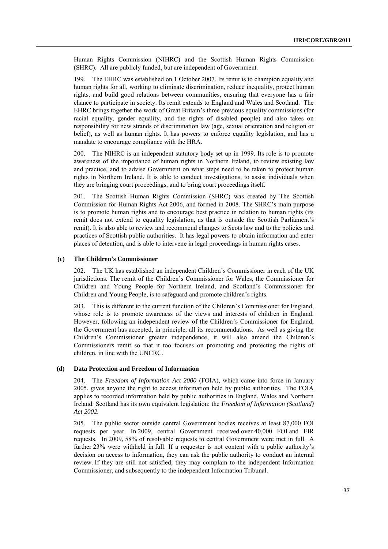Human Rights Commission (NIHRC) and the Scottish Human Rights Commission (SHRC). All are publicly funded, but are independent of Government.

199. The EHRC was established on 1 October 2007. Its remit is to champion equality and human rights for all, working to eliminate discrimination, reduce inequality, protect human rights, and build good relations between communities, ensuring that everyone has a fair chance to participate in society. Its remit extends to England and Wales and Scotland. The EHRC brings together the work of Great Britain's three previous equality commissions (for racial equality, gender equality, and the rights of disabled people) and also takes on responsibility for new strands of discrimination law (age, sexual orientation and religion or belief), as well as human rights. It has powers to enforce equality legislation, and has a mandate to encourage compliance with the HRA.

200. The NIHRC is an independent statutory body set up in 1999. Its role is to promote awareness of the importance of human rights in Northern Ireland, to review existing law and practice, and to advise Government on what steps need to be taken to protect human rights in Northern Ireland. It is able to conduct [investigations,](file:///C:/Users/Rosniansky/AppData/index.php%3fpage=res_details&category_id=25) to assist individuals when they are bringing [court proceedings,](file:///C:/Users/Rosniansky/AppData/index.php%3fpage=res_details&category_id=24) and to bring court proceedings itself.

201. The Scottish Human Rights Commission (SHRC) was created by The Scottish Commission for Human Rights Act 2006, and formed in 2008. The SHRC's main purpose is to promote human rights and to encourage best practice in relation to human rights (its remit does not extend to equality legislation, as that is outside the Scottish Parliament's remit). It is also able to review and recommend changes to Scots law and to the policies and practices of Scottish public authorities. It has legal powers to obtain information and enter places of detention, and is able to intervene in legal proceedings in human rights cases.

#### **(c) The Children's Commissioner**

202. The UK has established an independent Children's Commissioner in each of the UK jurisdictions. The remit of the Children's Commissioner for Wales, the Commissioner for Children and Young People for Northern Ireland, and Scotland's Commissioner for Children and Young People, is to safeguard and promote children's rights.

203. This is different to the current function of the Children's Commissioner for England, whose role is to promote awareness of the views and interests of children in England. However, following an independent review of the Children's Commissioner for England, the Government has accepted, in principle, all its recommendations. As well as giving the Children's Commissioner greater independence, it will also amend the Children's Commissioners remit so that it too focuses on promoting and protecting the rights of children, in line with the UNCRC.

#### **(d) Data Protection and Freedom of Information**

204. The *Freedom of Information Act 2000* (FOIA), which came into force in January 2005, gives anyone the right to access information held by public authorities. The FOIA applies to recorded information held by public authorities in England, Wales and Northern Ireland. Scotland has its own equivalent legislation: the *Freedom of Information (Scotland) Act 2002.*

205. The public sector outside central Government bodies receives at least 87,000 FOI requests per year. In 2009, central Government received over 40,000 FOI and EIR requests. In 2009, 58% of resolvable requests to central Government were met in full. A further 23% were withheld in full. If a requester is not content with a public authority's decision on access to information, they can ask the public authority to conduct an internal review. If they are still not satisfied, they may complain to the independent Information Commissioner, and subsequently to the independent Information Tribunal.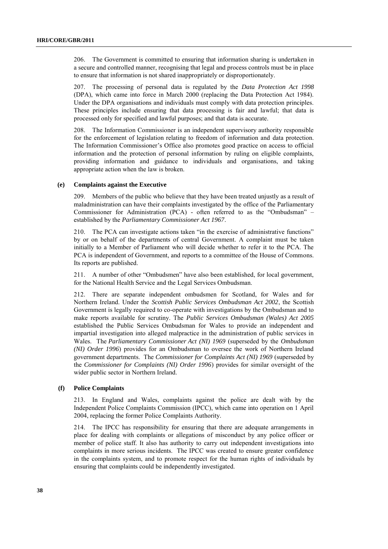206. The Government is committed to ensuring that information sharing is undertaken in a secure and controlled manner, recognising that legal and process controls must be in place to ensure that information is not shared inappropriately or disproportionately.

207. The processing of personal data is regulated by the *Data Protection Act 1998*  (DPA), which came into force in March 2000 (replacing the Data Protection Act 1984). Under the DPA organisations and individuals must comply with data protection principles. These principles include ensuring that data processing is fair and lawful; that data is processed only for specified and lawful purposes; and that data is accurate.

208. The Information Commissioner is an independent supervisory authority responsible for the enforcement of legislation relating to freedom of information and data protection. The Information Commissioner's Office also promotes good practice on access to official information and the protection of personal information by ruling on eligible complaints, providing information and guidance to individuals and organisations, and taking appropriate action when the law is broken.

#### **(e) Complaints against the Executive**

209. Members of the public who believe that they have been treated unjustly as a result of maladministration can have their complaints investigated by the office of the Parliamentary Commissioner for Administration (PCA) - often referred to as the "Ombudsman" – established by the *Parliamentary Commissioner Act 1967*.

210. The PCA can investigate actions taken "in the exercise of administrative functions" by or on behalf of the departments of central Government. A complaint must be taken initially to a Member of Parliament who will decide whether to refer it to the PCA. The PCA is independent of Government, and reports to a committee of the House of Commons. Its reports are published.

211. A number of other "Ombudsmen" have also been established, for local government, for the National Health Service and the Legal Services Ombudsman.

212. There are separate independent ombudsmen for Scotland, for Wales and for Northern Ireland. Under the *Scottish Public Services Ombudsman Act 2002*, the Scottish Government is legally required to co-operate with investigations by the Ombudsman and to make reports available for scrutiny. The *Public Services Ombudsman (Wales) Act 2005* established the Public Services Ombudsman for Wales to provide an independent and impartial investigation into alleged malpractice in the administration of public services in Wales. The *Parliamentary Commissioner Act (NI) 1969* (superseded by the *Ombudsman (NI) Order 1996*) provides for an Ombudsman to oversee the work of Northern Ireland government departments. The *Commissioner for Complaints Act (NI) 1969* (superseded by the *Commissioner for Complaints (NI) Order 1996*) provides for similar oversight of the wider public sector in Northern Ireland.

## **(f) Police Complaints**

213. In England and Wales, complaints against the police are dealt with by the Independent Police Complaints Commission (IPCC), which came into operation on 1 April 2004, replacing the former Police Complaints Authority.

214. The IPCC has responsibility for ensuring that there are adequate arrangements in place for dealing with complaints or allegations of misconduct by any police officer or member of police staff. It also has authority to carry out independent investigations into complaints in more serious incidents. The IPCC was created to ensure greater confidence in the complaints system, and to promote respect for the human rights of individuals by ensuring that complaints could be independently investigated.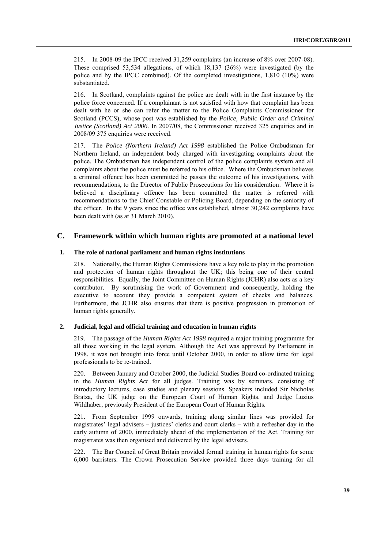215. In 2008-09 the IPCC received 31,259 complaints (an increase of 8% over 2007-08). These comprised 53,534 allegations, of which 18,137 (36%) were investigated (by the police and by the IPCC combined). Of the completed investigations, 1,810 (10%) were substantiated.

216. In Scotland, complaints against the police are dealt with in the first instance by the police force concerned. If a complainant is not satisfied with how that complaint has been dealt with he or she can refer the matter to the Police Complaints Commissioner for Scotland (PCCS), whose post was established by the *Police, Public Order and Criminal Justice (Scotland) Act 2006*. In 2007/08, the Commissioner received 325 enquiries and in 2008/09 375 enquiries were received.

217. The *Police (Northern Ireland) Act 1998* established the Police Ombudsman for Northern Ireland, an independent body charged with investigating complaints about the police. The Ombudsman has independent control of the police complaints system and all complaints about the police must be referred to his office. Where the Ombudsman believes a criminal offence has been committed he passes the outcome of his investigations, with recommendations, to the Director of Public Prosecutions for his consideration. Where it is believed a disciplinary offence has been committed the matter is referred with recommendations to the Chief Constable or Policing Board, depending on the seniority of the officer. In the 9 years since the office was established, almost 30,242 complaints have been dealt with (as at 31 March 2010).

## **C. Framework within which human rights are promoted at a national level**

#### **1. The role of national parliament and human rights institutions**

218. Nationally, the Human Rights Commissions have a key role to play in the promotion and protection of human rights throughout the UK; this being one of their central responsibilities. Equally, the Joint Committee on Human Rights (JCHR) also acts as a key contributor. By scrutinising the work of Government and consequently, holding the executive to account they provide a competent system of checks and balances. Furthermore, the JCHR also ensures that there is positive progression in promotion of human rights generally.

## **2. Judicial, legal and official training and education in human rights**

219. The passage of the *Human Rights Act 1998* required a major training programme for all those working in the legal system. Although the Act was approved by Parliament in 1998, it was not brought into force until October 2000, in order to allow time for legal professionals to be re-trained.

220. Between January and October 2000, the Judicial Studies Board co-ordinated training in the *Human Rights Act* for all judges. Training was by seminars, consisting of introductory lectures, case studies and plenary sessions. Speakers included Sir Nicholas Bratza, the UK judge on the European Court of Human Rights, and Judge Luzius Wildhaber, previously President of the European Court of Human Rights.

221. From September 1999 onwards, training along similar lines was provided for magistrates' legal advisers – justices' clerks and court clerks – with a refresher day in the early autumn of 2000, immediately ahead of the implementation of the Act. Training for magistrates was then organised and delivered by the legal advisers.

222. The Bar Council of Great Britain provided formal training in human rights for some 6,000 barristers. The Crown Prosecution Service provided three days training for all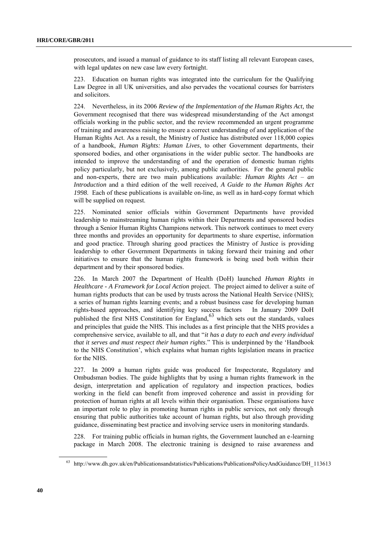prosecutors, and issued a manual of guidance to its staff listing all relevant European cases, with legal updates on new case law every fortnight.

223. Education on human rights was integrated into the curriculum for the Qualifying Law Degree in all UK universities, and also pervades the vocational courses for barristers and solicitors.

224. Nevertheless, in its 2006 *Review of the Implementation of the Human Rights Act,* the Government recognised that there was widespread misunderstanding of the Act amongst officials working in the public sector, and the review recommended an urgent programme of training and awareness raising to ensure a correct understanding of and application of the Human Rights Act. As a result, the Ministry of Justice has distributed over 118,000 copies of a handbook, *Human Rights: Human Lives*, to other Government departments, their sponsored bodies, and other organisations in the wider public sector. The handbooks are intended to improve the understanding of and the operation of domestic human rights policy particularly, but not exclusively, among public authorities. For the general public and non-experts, there are two main publications available: *Human Rights Act – an Introduction* and a third edition of the well received, *A Guide to the Human Rights Act 1998*. Each of these publications is available on-line, as well as in hard-copy format which will be supplied on request.

225. Nominated senior officials within Government Departments have provided leadership to mainstreaming human rights within their Departments and sponsored bodies through a Senior Human Rights Champions network. This network continues to meet every three months and provides an opportunity for departments to share expertise, information and good practice. Through sharing good practices the Ministry of Justice is providing leadership to other Government Departments in taking forward their training and other initiatives to ensure that the human rights framework is being used both within their department and by their sponsored bodies.

226. In March 2007 the Department of Health (DoH) launched *Human Rights in Healthcare - A Framework for Local Action* project. The project aimed to deliver a suite of human rights products that can be used by trusts across the National Health Service (NHS); a series of human rights learning events; and a robust business case for developing human rights-based approaches, and identifying key success factors In January 2009 DoH rights-based approaches, and identifying key success factors published the first NHS Constitution for England, $63$  which sets out the standards, values and principles that guide the NHS. This includes as a first principle that the NHS provides a comprehensive service, available to all, and that "*it has a duty to each and every individual that it serves and must respect their human rights*.‖ This is underpinned by the ‗Handbook to the NHS Constitution', which explains what human rights legislation means in practice for the NHS.

227. In 2009 a human rights guide was produced for Inspectorate, Regulatory and Ombudsman bodies. The guide highlights that by using a human rights framework in the design, interpretation and application of regulatory and inspection practices, bodies working in the field can benefit from improved coherence and assist in providing for protection of human rights at all levels within their organisation. These organisations have an important role to play in promoting human rights in public services, not only through ensuring that public authorities take account of human rights, but also through providing guidance, disseminating best practice and involving service users in monitoring standards.

228. For training public officials in human rights, the Government launched an e-learning package in March 2008. The electronic training is designed to raise awareness and

<sup>63</sup> http://www.dh.gov.uk/en/Publicationsandstatistics/Publications/PublicationsPolicyAndGuidance/DH\_113613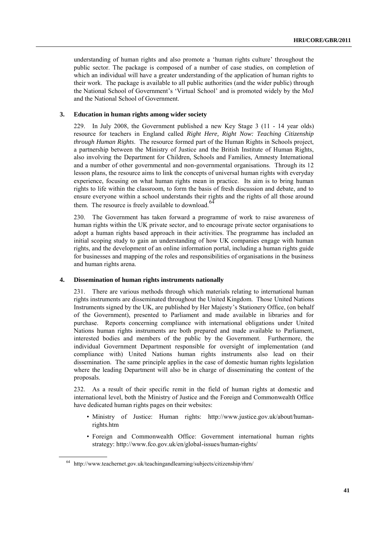understanding of human rights and also promote a ‗human rights culture' throughout the public sector. The package is composed of a number of case studies, on completion of which an individual will have a greater understanding of the application of human rights to their work. The package is available to all public authorities (and the wider public) through the National School of Government's 'Virtual School' and is promoted widely by the MoJ and the National School of Government.

#### **3. Education in human rights among wider society**

229. In July 2008, the Government published a new Key Stage 3 (11 - 14 year olds) resource for teachers in England called *Right Here, Right Now: Teaching Citizenship through Human Rights*. The resource formed part of the Human Rights in Schools project, a partnership between the Ministry of Justice and the British Institute of Human Rights, also involving the Department for Children, Schools and Families, Amnesty International and a number of other governmental and non-governmental organisations. Through its 12 lesson plans, the resource aims to link the concepts of universal human rights with everyday experience, focusing on what human rights mean in practice. Its aim is to bring human rights to life within the classroom, to form the basis of fresh discussion and debate, and to ensure everyone within a school understands their rights and the rights of all those around them. The resource is freely available to download.<sup>64</sup>

230. The Government has taken forward a programme of work to raise awareness of human rights within the UK private sector, and to encourage private sector organisations to adopt a human rights based approach in their activities. The programme has included an initial scoping study to gain an understanding of how UK companies engage with human rights, and the development of an online information portal, including a human rights guide for businesses and mapping of the roles and responsibilities of organisations in the business and human rights arena.

#### **4. Dissemination of human rights instruments nationally**

231. There are various methods through which materials relating to international human rights instruments are disseminated throughout the United Kingdom. Those United Nations Instruments signed by the UK, are published by Her Majesty's Stationery Office, (on behalf of the Government), presented to Parliament and made available in libraries and for purchase. Reports concerning compliance with international obligations under United Nations human rights instruments are both prepared and made available to Parliament, interested bodies and members of the public by the Government. Furthermore, the individual Government Department responsible for oversight of implementation (and compliance with) United Nations human rights instruments also lead on their dissemination. The same principle applies in the case of domestic human rights legislation where the leading Department will also be in charge of disseminating the content of the proposals.

232. As a result of their specific remit in the field of human rights at domestic and international level, both the Ministry of Justice and the Foreign and Commonwealth Office have dedicated human rights pages on their websites:

- Ministry of Justice: Human rights: [http://www.justice.gov.uk/about/human](http://www.justice.gov.uk/about/human-rights.htm)[rights.htm](http://www.justice.gov.uk/about/human-rights.htm)
- Foreign and Commonwealth Office: Government international human rights strategy[: http://www.fco.gov.uk/en/global-issues/human-rights/](http://www.fco.gov.uk/en/global-issues/human-rights/)

<sup>64</sup> http://www.teachernet.gov.uk/teachingandlearning/subjects/citizenship/rhrn/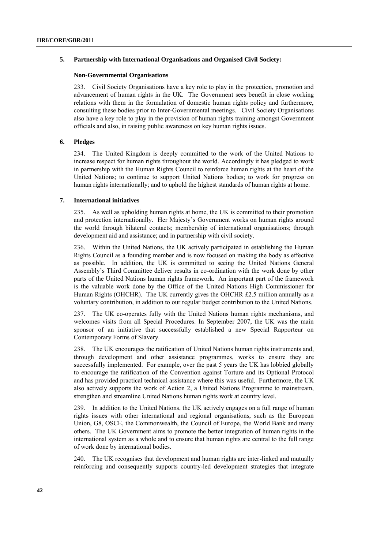## **5. Partnership with International Organisations and Organised Civil Society:**

## **Non-Governmental Organisations**

233. Civil Society Organisations have a key role to play in the protection, promotion and advancement of human rights in the UK. The Government sees benefit in close working relations with them in the formulation of domestic human rights policy and furthermore, consulting these bodies prior to Inter-Governmental meetings. Civil Society Organisations also have a key role to play in the provision of human rights training amongst Government officials and also, in raising public awareness on key human rights issues.

## **6. Pledges**

234. The United Kingdom is deeply committed to the work of the United Nations to increase respect for human rights throughout the world. Accordingly it has pledged to work in partnership with the Human Rights Council to reinforce human rights at the heart of the United Nations; to continue to support United Nations bodies; to work for progress on human rights internationally; and to uphold the highest standards of human rights at home.

## **7. International initiatives**

235. As well as upholding human rights at home, the UK is committed to their promotion and protection internationally. Her Majesty's Government works on human rights around the world through bilateral contacts; membership of international organisations; through development aid and assistance; and in partnership with civil society.

236. Within the United Nations, the UK actively participated in establishing the Human Rights Council as a founding member and is now focused on making the body as effective as possible. In addition, the UK is committed to seeing the United Nations General Assembly's Third Committee deliver results in co-ordination with the work done by other parts of the United Nations human rights framework. An important part of the framework is the valuable work done by the Office of the United Nations High Commissioner for Human Rights (OHCHR). The UK currently gives the OHCHR  $£2.5$  million annually as a voluntary contribution, in addition to our regular budget contribution to the United Nations.

237. The UK co-operates fully with the United Nations human rights mechanisms, and welcomes visits from all Special Procedures. In September 2007, the UK was the main sponsor of an initiative that successfully established a new Special Rapporteur on Contemporary Forms of Slavery.

238. The UK encourages the ratification of United Nations human rights instruments and, through development and other assistance programmes, works to ensure they are successfully implemented. For example, over the past 5 years the UK has lobbied globally to encourage the ratification of the Convention against Torture and its Optional Protocol and has provided practical technical assistance where this was useful. Furthermore, the UK also actively supports the work of Action 2, a United Nations Programme to mainstream, strengthen and streamline United Nations human rights work at country level.

239. In addition to the United Nations, the UK actively engages on a full range of human rights issues with other international and regional organisations, such as the European Union, G8, OSCE, the Commonwealth, the Council of Europe, the World Bank and many others. The UK Government aims to promote the better integration of human rights in the international system as a whole and to ensure that human rights are central to the full range of work done by international bodies.

240. The UK recognises that development and human rights are inter-linked and mutually reinforcing and consequently supports country-led development strategies that integrate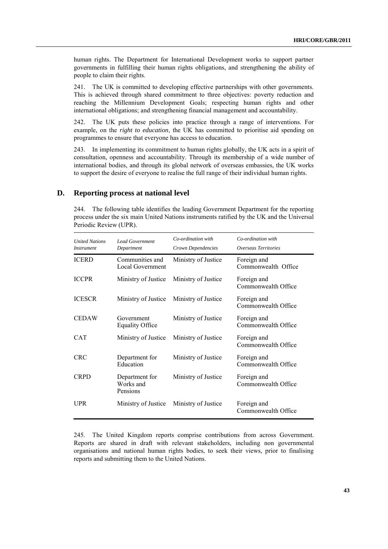human rights. The Department for International Development works to support partner governments in fulfilling their human rights obligations, and strengthening the ability of people to claim their rights.

241. The UK is committed to developing effective partnerships with other governments. This is achieved through shared commitment to three objectives: poverty reduction and reaching the Millennium Development Goals; respecting human rights and other international obligations; and strengthening financial management and accountability.

242. The UK puts these policies into practice through a range of interventions. For example, on the *right to education*, the UK has committed to prioritise aid spending on programmes to ensure that everyone has access to education.

243. In implementing its commitment to human rights globally, the UK acts in a spirit of consultation, openness and accountability. Through its membership of a wide number of international bodies, and through its global network of overseas embassies, the UK works to support the desire of everyone to realise the full range of their individual human rights.

## **D. Reporting process at national level**

244. The following table identifies the leading Government Department for the reporting process under the six main United Nations instruments ratified by the UK and the Universal Periodic Review (UPR).

| <b>United Nations</b><br><i>Instrument</i> | <b>Lead Government</b><br>Department    | Co-ordination with<br>Crown Dependencies | Co-ordination with<br>Overseas Territories |
|--------------------------------------------|-----------------------------------------|------------------------------------------|--------------------------------------------|
| <b>ICERD</b>                               | Communities and<br>Local Government     | Ministry of Justice                      | Foreign and<br>Commonwealth Office         |
| <b>ICCPR</b>                               | Ministry of Justice                     | Ministry of Justice                      | Foreign and<br>Commonwealth Office         |
| <b>ICESCR</b>                              | Ministry of Justice                     | Ministry of Justice                      | Foreign and<br>Commonwealth Office         |
| <b>CEDAW</b>                               | Government<br><b>Equality Office</b>    | Ministry of Justice                      | Foreign and<br>Commonwealth Office         |
| <b>CAT</b>                                 | Ministry of Justice                     | Ministry of Justice                      | Foreign and<br>Commonwealth Office         |
| <b>CRC</b>                                 | Department for<br>Education             | Ministry of Justice                      | Foreign and<br>Commonwealth Office         |
| <b>CRPD</b>                                | Department for<br>Works and<br>Pensions | Ministry of Justice                      | Foreign and<br>Commonwealth Office         |
| <b>UPR</b>                                 | Ministry of Justice                     | Ministry of Justice                      | Foreign and<br>Commonwealth Office         |

245. The United Kingdom reports comprise contributions from across Government. Reports are shared in draft with relevant stakeholders, including non governmental organisations and national human rights bodies, to seek their views, prior to finalising reports and submitting them to the United Nations.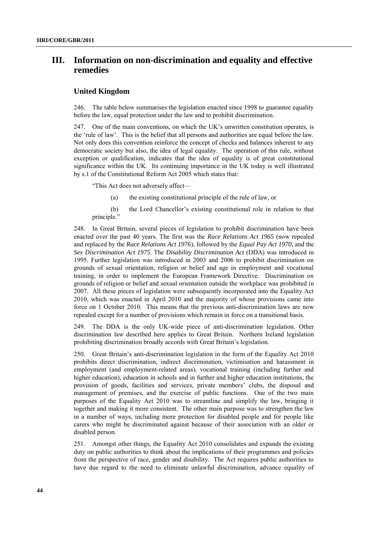## **III. Information on non-discrimination and equality and effective remedies**

## **United Kingdom**

246. The table below summarises the legislation enacted since 1998 to guarantee equality before the law, equal protection under the law and to prohibit discrimination.

247. One of the main conventions, on which the UK's unwritten constitution operates, is the 'rule of law'. This is the belief that all persons and authorities are equal before the law. Not only does this convention reinforce the concept of checks and balances inherent to any democratic society but also, the idea of legal equality. The operation of this rule, without exception or qualification, indicates that the idea of equality is of great constitutional significance within the UK. Its continuing importance in the UK today is well illustrated by s.1 of the Constitutional Reform Act 2005 which states that:

―This Act does not adversely affect—

(a) the existing constitutional principle of the rule of law, or

(b) the Lord Chancellor's existing constitutional role in relation to that principle."

248. In Great Britain, several pieces of legislation to prohibit discrimination have been enacted over the past 40 years. The first was the *Race Relations Act 1965* (now repealed and replaced by the *Race Relations Act 1976*), followed by the *Equal Pay Act 1970*, and the *Sex Discrimination Act 1975*. The *Disability Discrimination Act* (DDA) was introduced in 1995. Further legislation was introduced in 2003 and 2006 to prohibit discrimination on grounds of sexual orientation, religion or belief and age in employment and vocational training, in order to implement the European Framework Directive. Discrimination on grounds of religion or belief and sexual orientation outside the workplace was prohibited in 2007. All these pieces of legislation were subsequently incorporated into the Equality Act 2010, which was enacted in April 2010 and the majority of whose provisions came into force on 1 October 2010. This means that the previous anti-discrimination laws are now repealed except for a number of provisions which remain in force on a transitional basis.

249. The DDA is the only UK-wide piece of anti-discrimination legislation. Other discrimination law described here applies to Great Britain. Northern Ireland legislation prohibiting discrimination broadly accords with Great Britain's legislation.

250. Great Britain's anti-discrimination legislation in the form of the Equality Act 2010 prohibits direct discrimination, indirect discrimination, victimisation and harassment in employment (and employment-related areas), vocational training (including further and higher education), education in schools and in further and higher education institutions, the provision of goods, facilities and services, private members' clubs, the disposal and management of premises, and the exercise of public functions. One of the two main purposes of the Equality Act 2010 was to streamline and simplify the law, bringing it together and making it more consistent. The other main purpose was to strengthen the law in a number of ways, including more protection for disabled people and for people like carers who might be discriminated against because of their association with an older or disabled person.

251. Amongst other things, the Equality Act 2010 consolidates and expands the existing duty on public authorities to think about the implications of their programmes and policies from the perspective of race, gender and disability. The Act requires public authorities to have due regard to the need to eliminate unlawful discrimination, advance equality of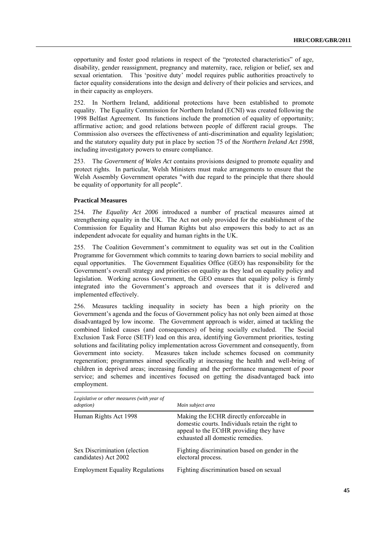opportunity and foster good relations in respect of the "protected characteristics" of age, disability, gender reassignment, pregnancy and maternity, race, religion or belief, sex and sexual orientation. This 'positive duty' model requires public authorities proactively to factor equality considerations into the design and delivery of their policies and services, and in their capacity as employers.

In Northern Ireland, additional protections have been established to promote equality. The Equality Commission for Northern Ireland (ECNI) was created following the 1998 Belfast Agreement. Its functions include the promotion of equality of opportunity; affirmative action; and good relations between people of different racial groups. The Commission also oversees the effectiveness of anti-discrimination and equality legislation; and the statutory equality duty put in place by section 75 of the *Northern Ireland Act 1998*, including investigatory powers to ensure compliance.

253. The *Government of Wales Act* contains provisions designed to promote equality and protect rights. In particular, Welsh Ministers must make arrangements to ensure that the Welsh Assembly Government operates "with due regard to the principle that there should be equality of opportunity for all people".

## **Practical Measures**

254*. The Equality Act 2006* introduced a number of practical measures aimed at strengthening equality in the UK. The Act not only provided for the establishment of the Commission for Equality and Human Rights but also empowers this body to act as an independent advocate for equality and human rights in the UK.

255. The Coalition Government's commitment to equality was set out in the Coalition Programme for Government which commits to tearing down barriers to social mobility and equal opportunities. The Government Equalities Office (GEO) has responsibility for the Government's overall strategy and priorities on equality as they lead on equality policy and legislation. Working across Government, the GEO ensures that equality policy is firmly integrated into the Government's approach and oversees that it is delivered and implemented effectively.

256. Measures tackling inequality in society has been a high priority on the Government's agenda and the focus of Government policy has not only been aimed at those disadvantaged by low income. The Government approach is wider, aimed at tackling the combined linked causes (and consequences) of being socially excluded. The Social Exclusion Task Force (SETF) lead on this area, identifying Government priorities, testing solutions and facilitating policy implementation across Government and consequently, from Government into society. Measures taken include schemes focused on community regeneration; programmes aimed specifically at increasing the health and well-bring of children in deprived areas; increasing funding and the performance management of poor service; and schemes and incentives focused on getting the disadvantaged back into employment.

| Legislative or other measures (with year of<br><i>adoption</i> ) | Main subject area                                                                                                                                                          |
|------------------------------------------------------------------|----------------------------------------------------------------------------------------------------------------------------------------------------------------------------|
| Human Rights Act 1998                                            | Making the ECHR directly enforceable in<br>domestic courts. Individuals retain the right to<br>appeal to the ECtHR providing they have<br>exhausted all domestic remedies. |
| Sex Discrimination (election)<br>candidates) Act 2002            | Fighting discrimination based on gender in the<br>electoral process.                                                                                                       |
| <b>Employment Equality Regulations</b>                           | Fighting discrimination based on sexual                                                                                                                                    |